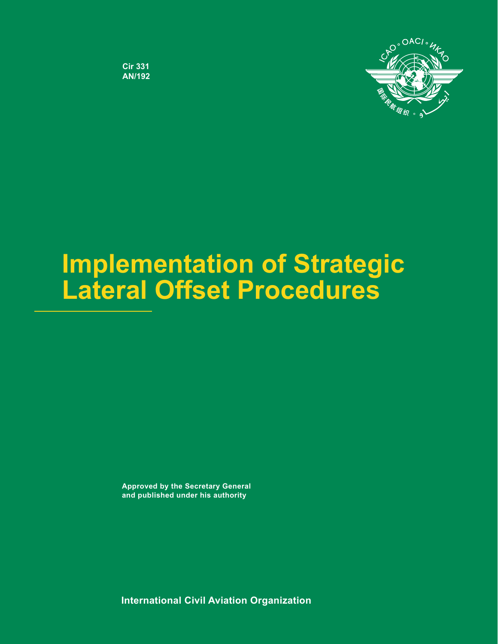

**Cir 331** AN/192

# **Implementation of Strategic Lateral Offset Procedures**

**Approved by the Secretary General and published under his authority**

**International Civil Aviation Organization**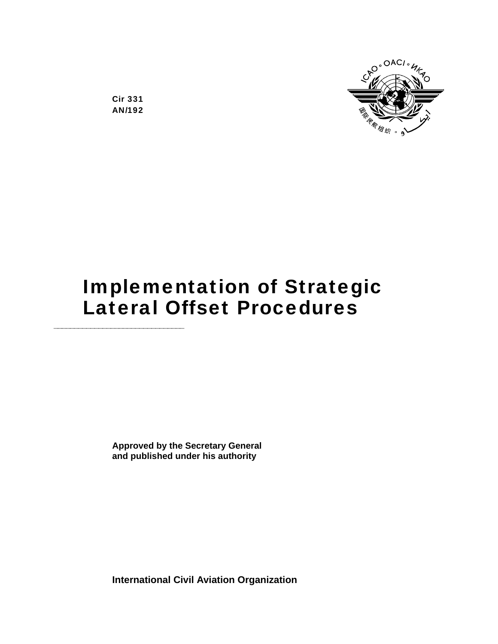

Cir 331 AN/192

# Implementation of Strategic Lateral Offset Procedures

**Approved by the Secretary General and published under his authority** 

**International Civil Aviation Organization**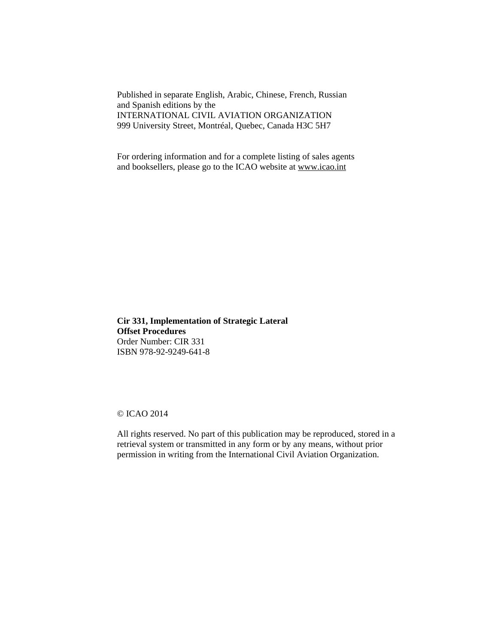Published in separate English, Arabic, Chinese, French, Russian and Spanish editions by the INTERNATIONAL CIVIL AVIATION ORGANIZATION 999 University Street, Montréal, Quebec, Canada H3C 5H7

For ordering information and for a complete listing of sales agents and booksellers, please go to the ICAO website at www.icao.int

**Cir 331, Implementation of Strategic Lateral Offset Procedures** Order Number: CIR 331 ISBN 978-92-9249-641-8

#### © ICAO 2014

All rights reserved. No part of this publication may be reproduced, stored in a retrieval system or transmitted in any form or by any means, without prior permission in writing from the International Civil Aviation Organization.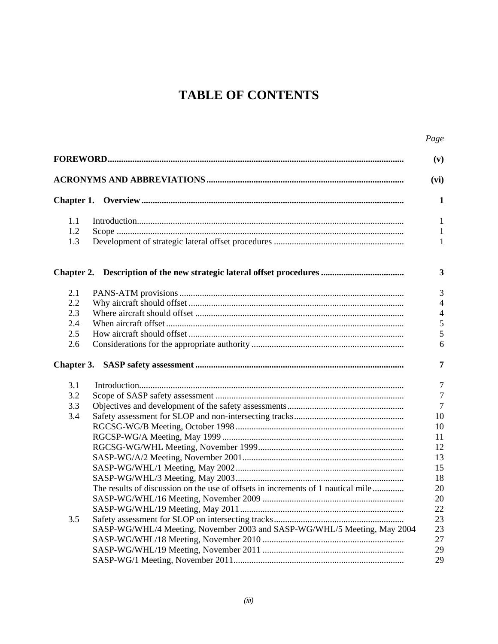# **TABLE OF CONTENTS**

|     |                                                                                  | Page           |
|-----|----------------------------------------------------------------------------------|----------------|
|     |                                                                                  | (v)            |
|     |                                                                                  | (vi)           |
|     |                                                                                  | 1              |
| 1.1 |                                                                                  | $\mathbf{1}$   |
| 1.2 |                                                                                  | $\mathbf{1}$   |
| 1.3 |                                                                                  | $\mathbf{1}$   |
|     |                                                                                  | 3              |
| 2.1 |                                                                                  | 3              |
| 2.2 |                                                                                  | $\overline{4}$ |
| 2.3 |                                                                                  | $\overline{4}$ |
| 2.4 |                                                                                  | 5              |
| 2.5 |                                                                                  | 5              |
| 2.6 |                                                                                  | 6              |
|     |                                                                                  | 7              |
| 3.1 |                                                                                  | $\tau$         |
| 3.2 |                                                                                  | $\overline{7}$ |
| 3.3 |                                                                                  | $\overline{7}$ |
| 3.4 |                                                                                  | 10             |
|     |                                                                                  | 10             |
|     |                                                                                  | 11             |
|     |                                                                                  | 12             |
|     |                                                                                  | 13             |
|     |                                                                                  | 15             |
|     |                                                                                  | 18             |
|     | The results of discussion on the use of offsets in increments of 1 nautical mile | 20             |
|     |                                                                                  | 20             |
|     |                                                                                  |                |
|     |                                                                                  | 22             |
| 3.5 |                                                                                  | 23             |
|     | SASP-WG/WHL/4 Meeting, November 2003 and SASP-WG/WHL/5 Meeting, May 2004         | 23             |
|     |                                                                                  | 27             |
|     |                                                                                  | 29             |
|     |                                                                                  | 29             |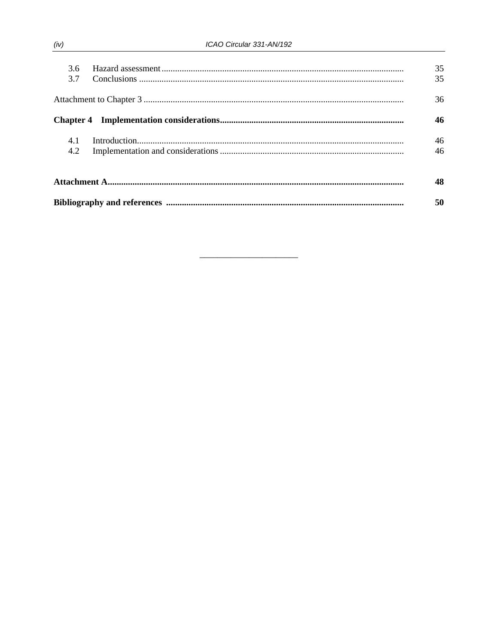| 3.6<br>37 |  | 35<br>35 |  |
|-----------|--|----------|--|
|           |  | 36       |  |
|           |  | 46       |  |
| 4.1       |  | 46       |  |
| 4.2       |  | 46       |  |
|           |  |          |  |
|           |  |          |  |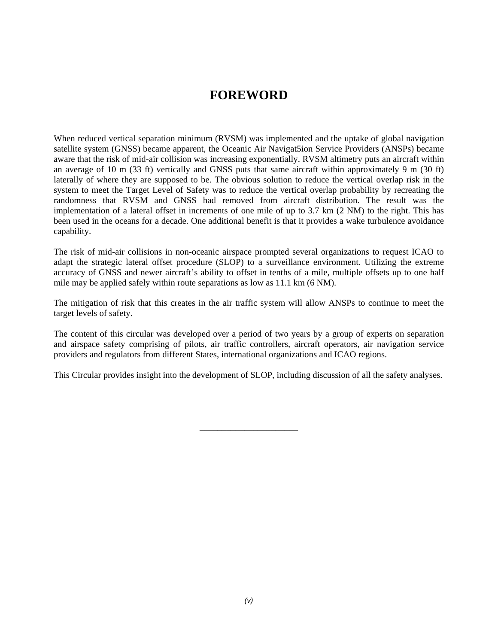# **FOREWORD**

When reduced vertical separation minimum (RVSM) was implemented and the uptake of global navigation satellite system (GNSS) became apparent, the Oceanic Air Navigat5ion Service Providers (ANSPs) became aware that the risk of mid-air collision was increasing exponentially. RVSM altimetry puts an aircraft within an average of 10 m (33 ft) vertically and GNSS puts that same aircraft within approximately 9 m (30 ft) laterally of where they are supposed to be. The obvious solution to reduce the vertical overlap risk in the system to meet the Target Level of Safety was to reduce the vertical overlap probability by recreating the randomness that RVSM and GNSS had removed from aircraft distribution. The result was the implementation of a lateral offset in increments of one mile of up to 3.7 km (2 NM) to the right. This has been used in the oceans for a decade. One additional benefit is that it provides a wake turbulence avoidance capability.

The risk of mid-air collisions in non-oceanic airspace prompted several organizations to request ICAO to adapt the strategic lateral offset procedure (SLOP) to a surveillance environment. Utilizing the extreme accuracy of GNSS and newer aircraft's ability to offset in tenths of a mile, multiple offsets up to one half mile may be applied safely within route separations as low as 11.1 km (6 NM).

The mitigation of risk that this creates in the air traffic system will allow ANSPs to continue to meet the target levels of safety.

The content of this circular was developed over a period of two years by a group of experts on separation and airspace safety comprising of pilots, air traffic controllers, aircraft operators, air navigation service providers and regulators from different States, international organizations and ICAO regions.

This Circular provides insight into the development of SLOP, including discussion of all the safety analyses.

\_\_\_\_\_\_\_\_\_\_\_\_\_\_\_\_\_\_\_\_\_\_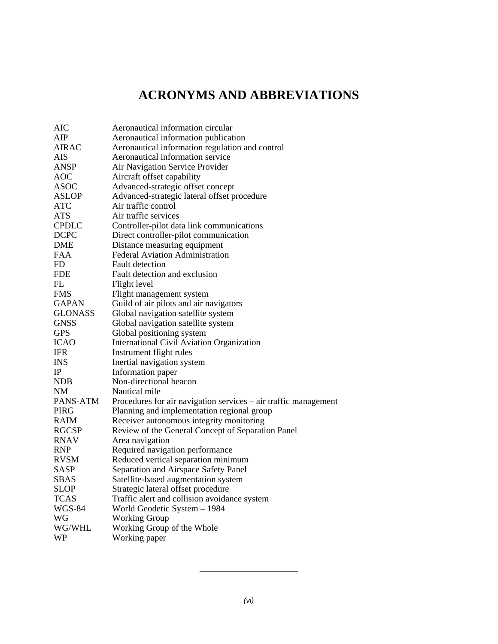# **ACRONYMS AND ABBREVIATIONS**

| <b>AIC</b>     | Aeronautical information circular                               |
|----------------|-----------------------------------------------------------------|
| AIP            | Aeronautical information publication                            |
| <b>AIRAC</b>   | Aeronautical information regulation and control                 |
| <b>AIS</b>     | Aeronautical information service                                |
| <b>ANSP</b>    | Air Navigation Service Provider                                 |
| AOC            | Aircraft offset capability                                      |
| <b>ASOC</b>    | Advanced-strategic offset concept                               |
| <b>ASLOP</b>   | Advanced-strategic lateral offset procedure                     |
| <b>ATC</b>     | Air traffic control                                             |
| <b>ATS</b>     | Air traffic services                                            |
| <b>CPDLC</b>   | Controller-pilot data link communications                       |
| <b>DCPC</b>    | Direct controller-pilot communication                           |
| <b>DME</b>     | Distance measuring equipment                                    |
| <b>FAA</b>     | <b>Federal Aviation Administration</b>                          |
| FD.            | <b>Fault detection</b>                                          |
| <b>FDE</b>     | Fault detection and exclusion                                   |
| FL             | Flight level                                                    |
| <b>FMS</b>     | Flight management system                                        |
| <b>GAPAN</b>   | Guild of air pilots and air navigators                          |
| <b>GLONASS</b> | Global navigation satellite system                              |
| <b>GNSS</b>    | Global navigation satellite system                              |
| <b>GPS</b>     | Global positioning system                                       |
| <b>ICAO</b>    | International Civil Aviation Organization                       |
| <b>IFR</b>     | Instrument flight rules                                         |
| <b>INS</b>     | Inertial navigation system                                      |
| IP             | Information paper                                               |
| <b>NDB</b>     | Non-directional beacon                                          |
| NM             | Nautical mile                                                   |
| PANS-ATM       | Procedures for air navigation services - air traffic management |
| PIRG           | Planning and implementation regional group                      |
| <b>RAIM</b>    | Receiver autonomous integrity monitoring                        |
| <b>RGCSP</b>   | Review of the General Concept of Separation Panel               |
| <b>RNAV</b>    | Area navigation                                                 |
| <b>RNP</b>     | Required navigation performance                                 |
| <b>RVSM</b>    | Reduced vertical separation minimum                             |
| <b>SASP</b>    | Separation and Airspace Safety Panel                            |
| <b>SBAS</b>    | Satellite-based augmentation system                             |
| <b>SLOP</b>    | Strategic lateral offset procedure                              |
| <b>TCAS</b>    | Traffic alert and collision avoidance system                    |
| <b>WGS-84</b>  | World Geodetic System - 1984                                    |
| WG             | <b>Working Group</b>                                            |
| WG/WHL         | Working Group of the Whole                                      |
| <b>WP</b>      | Working paper                                                   |

\_\_\_\_\_\_\_\_\_\_\_\_\_\_\_\_\_\_\_\_\_\_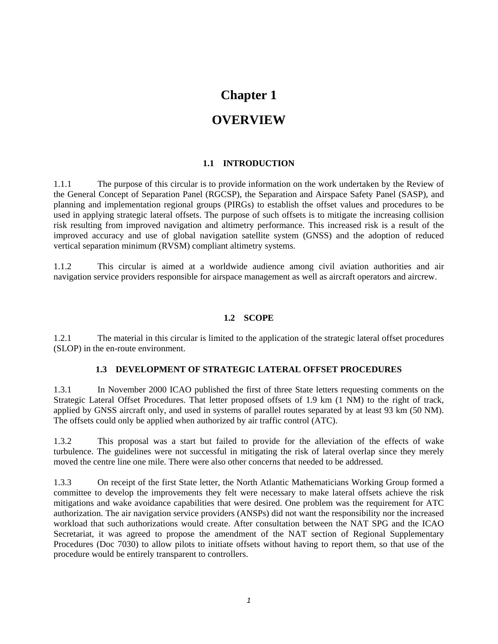# **Chapter 1**

# **OVERVIEW**

#### **1.1 INTRODUCTION**

1.1.1 The purpose of this circular is to provide information on the work undertaken by the Review of the General Concept of Separation Panel (RGCSP), the Separation and Airspace Safety Panel (SASP), and planning and implementation regional groups (PIRGs) to establish the offset values and procedures to be used in applying strategic lateral offsets. The purpose of such offsets is to mitigate the increasing collision risk resulting from improved navigation and altimetry performance. This increased risk is a result of the improved accuracy and use of global navigation satellite system (GNSS) and the adoption of reduced vertical separation minimum (RVSM) compliant altimetry systems.

1.1.2 This circular is aimed at a worldwide audience among civil aviation authorities and air navigation service providers responsible for airspace management as well as aircraft operators and aircrew.

#### **1.2 SCOPE**

1.2.1 The material in this circular is limited to the application of the strategic lateral offset procedures (SLOP) in the en-route environment.

#### **1.3 DEVELOPMENT OF STRATEGIC LATERAL OFFSET PROCEDURES**

1.3.1 In November 2000 ICAO published the first of three State letters requesting comments on the Strategic Lateral Offset Procedures. That letter proposed offsets of 1.9 km (1 NM) to the right of track, applied by GNSS aircraft only, and used in systems of parallel routes separated by at least 93 km (50 NM). The offsets could only be applied when authorized by air traffic control (ATC).

1.3.2 This proposal was a start but failed to provide for the alleviation of the effects of wake turbulence. The guidelines were not successful in mitigating the risk of lateral overlap since they merely moved the centre line one mile. There were also other concerns that needed to be addressed.

1.3.3 On receipt of the first State letter, the North Atlantic Mathematicians Working Group formed a committee to develop the improvements they felt were necessary to make lateral offsets achieve the risk mitigations and wake avoidance capabilities that were desired. One problem was the requirement for ATC authorization. The air navigation service providers (ANSPs) did not want the responsibility nor the increased workload that such authorizations would create. After consultation between the NAT SPG and the ICAO Secretariat, it was agreed to propose the amendment of the NAT section of Regional Supplementary Procedures (Doc 7030) to allow pilots to initiate offsets without having to report them, so that use of the procedure would be entirely transparent to controllers.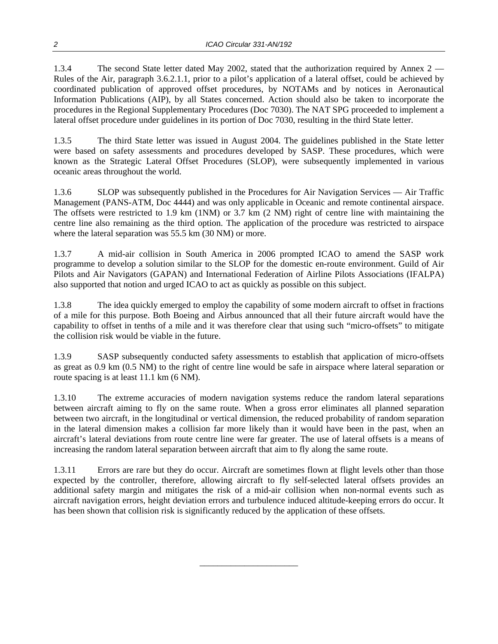1.3.4 The second State letter dated May 2002, stated that the authorization required by Annex 2 — Rules of the Air, paragraph 3.6.2.1.1, prior to a pilot's application of a lateral offset, could be achieved by coordinated publication of approved offset procedures, by NOTAMs and by notices in Aeronautical Information Publications (AIP), by all States concerned. Action should also be taken to incorporate the procedures in the Regional Supplementary Procedures (Doc 7030). The NAT SPG proceeded to implement a lateral offset procedure under guidelines in its portion of Doc 7030, resulting in the third State letter.

1.3.5 The third State letter was issued in August 2004. The guidelines published in the State letter were based on safety assessments and procedures developed by SASP. These procedures, which were known as the Strategic Lateral Offset Procedures (SLOP), were subsequently implemented in various oceanic areas throughout the world.

1.3.6 SLOP was subsequently published in the Procedures for Air Navigation Services — Air Traffic Management (PANS-ATM, Doc 4444) and was only applicable in Oceanic and remote continental airspace. The offsets were restricted to 1.9 km (1NM) or 3.7 km (2 NM) right of centre line with maintaining the centre line also remaining as the third option. The application of the procedure was restricted to airspace where the lateral separation was 55.5 km (30 NM) or more.

1.3.7 A mid-air collision in South America in 2006 prompted ICAO to amend the SASP work programme to develop a solution similar to the SLOP for the domestic en-route environment. Guild of Air Pilots and Air Navigators (GAPAN) and International Federation of Airline Pilots Associations (IFALPA) also supported that notion and urged ICAO to act as quickly as possible on this subject.

1.3.8 The idea quickly emerged to employ the capability of some modern aircraft to offset in fractions of a mile for this purpose. Both Boeing and Airbus announced that all their future aircraft would have the capability to offset in tenths of a mile and it was therefore clear that using such "micro-offsets" to mitigate the collision risk would be viable in the future.

1.3.9 SASP subsequently conducted safety assessments to establish that application of micro-offsets as great as 0.9 km (0.5 NM) to the right of centre line would be safe in airspace where lateral separation or route spacing is at least 11.1 km (6 NM).

1.3.10 The extreme accuracies of modern navigation systems reduce the random lateral separations between aircraft aiming to fly on the same route. When a gross error eliminates all planned separation between two aircraft, in the longitudinal or vertical dimension, the reduced probability of random separation in the lateral dimension makes a collision far more likely than it would have been in the past, when an aircraft's lateral deviations from route centre line were far greater. The use of lateral offsets is a means of increasing the random lateral separation between aircraft that aim to fly along the same route.

1.3.11 Errors are rare but they do occur. Aircraft are sometimes flown at flight levels other than those expected by the controller, therefore, allowing aircraft to fly self-selected lateral offsets provides an additional safety margin and mitigates the risk of a mid-air collision when non-normal events such as aircraft navigation errors, height deviation errors and turbulence induced altitude-keeping errors do occur. It has been shown that collision risk is significantly reduced by the application of these offsets.

\_\_\_\_\_\_\_\_\_\_\_\_\_\_\_\_\_\_\_\_\_\_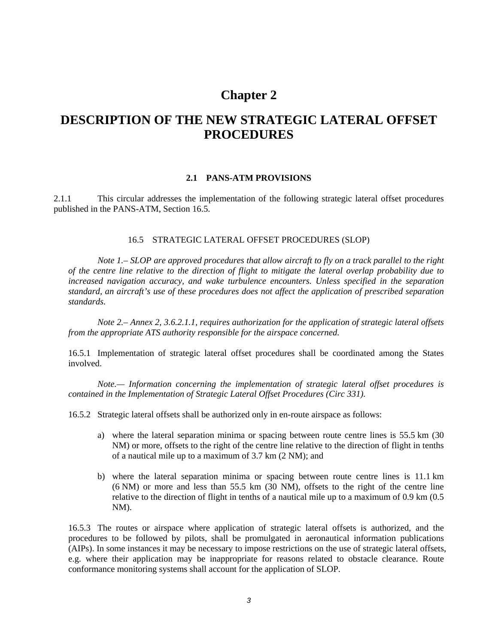## **Chapter 2**

# **DESCRIPTION OF THE NEW STRATEGIC LATERAL OFFSET PROCEDURES**

#### **2.1 PANS-ATM PROVISIONS**

2.1.1 This circular addresses the implementation of the following strategic lateral offset procedures published in the PANS-ATM, Section 16.5.

#### 16.5 STRATEGIC LATERAL OFFSET PROCEDURES (SLOP)

 *Note 1.– SLOP are approved procedures that allow aircraft to fly on a track parallel to the right of the centre line relative to the direction of flight to mitigate the lateral overlap probability due to increased navigation accuracy, and wake turbulence encounters. Unless specified in the separation standard, an aircraft's use of these procedures does not affect the application of prescribed separation standards.*

 *Note 2.– Annex 2, 3.6.2.1.1, requires authorization for the application of strategic lateral offsets from the appropriate ATS authority responsible for the airspace concerned.* 

16.5.1 Implementation of strategic lateral offset procedures shall be coordinated among the States involved.

 *Note.— Information concerning the implementation of strategic lateral offset procedures is contained in the Implementation of Strategic Lateral Offset Procedures (Circ 331).* 

16.5.2 Strategic lateral offsets shall be authorized only in en-route airspace as follows:

- a) where the lateral separation minima or spacing between route centre lines is 55.5 km (30 NM) or more, offsets to the right of the centre line relative to the direction of flight in tenths of a nautical mile up to a maximum of 3.7 km (2 NM); and
- b) where the lateral separation minima or spacing between route centre lines is 11.1 km (6 NM) or more and less than 55.5 km (30 NM), offsets to the right of the centre line relative to the direction of flight in tenths of a nautical mile up to a maximum of 0.9 km (0.5 NM).

16.5.3 The routes or airspace where application of strategic lateral offsets is authorized, and the procedures to be followed by pilots, shall be promulgated in aeronautical information publications (AIPs). In some instances it may be necessary to impose restrictions on the use of strategic lateral offsets, e.g. where their application may be inappropriate for reasons related to obstacle clearance. Route conformance monitoring systems shall account for the application of SLOP.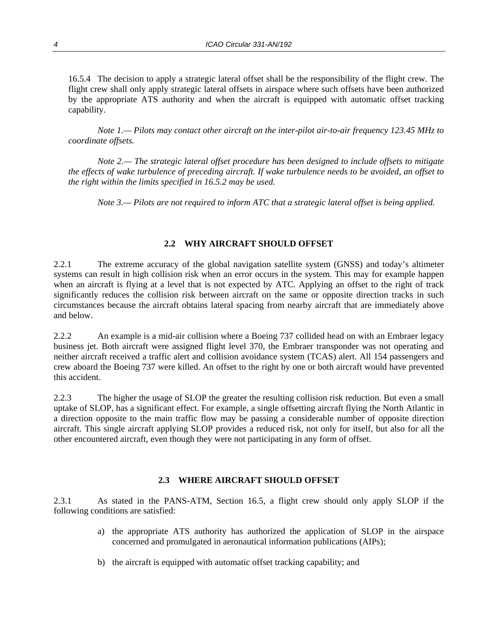16.5.4 The decision to apply a strategic lateral offset shall be the responsibility of the flight crew. The flight crew shall only apply strategic lateral offsets in airspace where such offsets have been authorized by the appropriate ATS authority and when the aircraft is equipped with automatic offset tracking capability.

 *Note 1.— Pilots may contact other aircraft on the inter-pilot air-to-air frequency 123.45 MHz to coordinate offsets.* 

 *Note 2.— The strategic lateral offset procedure has been designed to include offsets to mitigate the effects of wake turbulence of preceding aircraft. If wake turbulence needs to be avoided, an offset to the right within the limits specified in 16.5.2 may be used.* 

 *Note 3.— Pilots are not required to inform ATC that a strategic lateral offset is being applied.* 

#### **2.2 WHY AIRCRAFT SHOULD OFFSET**

2.2.1 The extreme accuracy of the global navigation satellite system (GNSS) and today's altimeter systems can result in high collision risk when an error occurs in the system. This may for example happen when an aircraft is flying at a level that is not expected by ATC. Applying an offset to the right of track significantly reduces the collision risk between aircraft on the same or opposite direction tracks in such circumstances because the aircraft obtains lateral spacing from nearby aircraft that are immediately above and below.

2.2.2 An example is a mid-air collision where a Boeing 737 collided head on with an Embraer legacy business jet. Both aircraft were assigned flight level 370, the Embraer transponder was not operating and neither aircraft received a traffic alert and collision avoidance system (TCAS) alert. All 154 passengers and crew aboard the Boeing 737 were killed. An offset to the right by one or both aircraft would have prevented this accident.

2.2.3 The higher the usage of SLOP the greater the resulting collision risk reduction. But even a small uptake of SLOP, has a significant effect. For example, a single offsetting aircraft flying the North Atlantic in a direction opposite to the main traffic flow may be passing a considerable number of opposite direction aircraft. This single aircraft applying SLOP provides a reduced risk, not only for itself, but also for all the other encountered aircraft, even though they were not participating in any form of offset.

#### **2.3 WHERE AIRCRAFT SHOULD OFFSET**

2.3.1 As stated in the PANS-ATM, Section 16.5, a flight crew should only apply SLOP if the following conditions are satisfied:

- a) the appropriate ATS authority has authorized the application of SLOP in the airspace concerned and promulgated in aeronautical information publications (AIPs);
- b) the aircraft is equipped with automatic offset tracking capability; and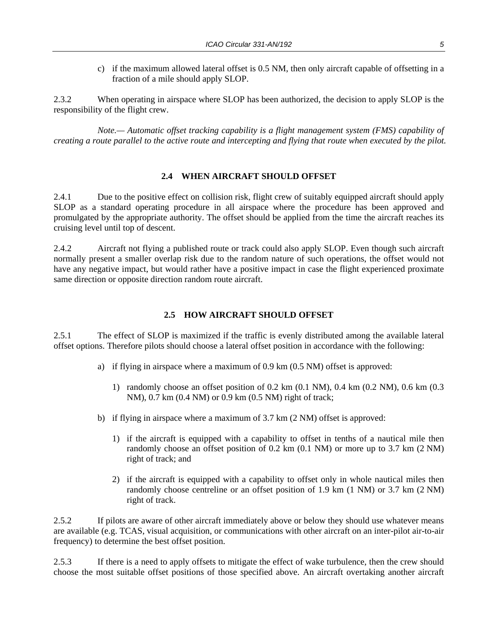c) if the maximum allowed lateral offset is 0.5 NM, then only aircraft capable of offsetting in a fraction of a mile should apply SLOP.

2.3.2 When operating in airspace where SLOP has been authorized, the decision to apply SLOP is the responsibility of the flight crew.

*Note.— Automatic offset tracking capability is a flight management system (FMS) capability of creating a route parallel to the active route and intercepting and flying that route when executed by the pilot.*

#### **2.4 WHEN AIRCRAFT SHOULD OFFSET**

2.4.1 Due to the positive effect on collision risk, flight crew of suitably equipped aircraft should apply SLOP as a standard operating procedure in all airspace where the procedure has been approved and promulgated by the appropriate authority. The offset should be applied from the time the aircraft reaches its cruising level until top of descent.

2.4.2 Aircraft not flying a published route or track could also apply SLOP. Even though such aircraft normally present a smaller overlap risk due to the random nature of such operations, the offset would not have any negative impact, but would rather have a positive impact in case the flight experienced proximate same direction or opposite direction random route aircraft.

#### **2.5 HOW AIRCRAFT SHOULD OFFSET**

2.5.1 The effect of SLOP is maximized if the traffic is evenly distributed among the available lateral offset options. Therefore pilots should choose a lateral offset position in accordance with the following:

- a) if flying in airspace where a maximum of 0.9 km (0.5 NM) offset is approved:
	- 1) randomly choose an offset position of 0.2 km (0.1 NM), 0.4 km (0.2 NM), 0.6 km (0.3 NM), 0.7 km (0.4 NM) or 0.9 km (0.5 NM) right of track;
- b) if flying in airspace where a maximum of 3.7 km (2 NM) offset is approved:
	- 1) if the aircraft is equipped with a capability to offset in tenths of a nautical mile then randomly choose an offset position of 0.2 km (0.1 NM) or more up to 3.7 km (2 NM) right of track; and
	- 2) if the aircraft is equipped with a capability to offset only in whole nautical miles then randomly choose centreline or an offset position of 1.9 km (1 NM) or 3.7 km (2 NM) right of track.

2.5.2 If pilots are aware of other aircraft immediately above or below they should use whatever means are available (e.g. TCAS, visual acquisition, or communications with other aircraft on an inter-pilot air-to-air frequency) to determine the best offset position.

2.5.3 If there is a need to apply offsets to mitigate the effect of wake turbulence, then the crew should choose the most suitable offset positions of those specified above. An aircraft overtaking another aircraft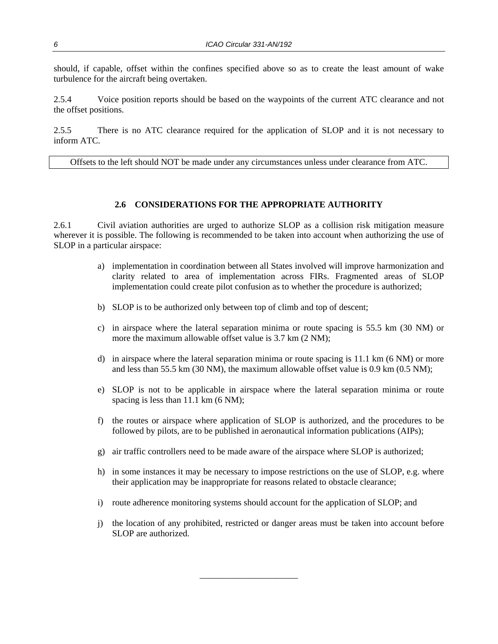should, if capable, offset within the confines specified above so as to create the least amount of wake turbulence for the aircraft being overtaken.

2.5.4 Voice position reports should be based on the waypoints of the current ATC clearance and not the offset positions.

2.5.5 There is no ATC clearance required for the application of SLOP and it is not necessary to inform ATC.

Offsets to the left should NOT be made under any circumstances unless under clearance from ATC.

#### **2.6 CONSIDERATIONS FOR THE APPROPRIATE AUTHORITY**

2.6.1 Civil aviation authorities are urged to authorize SLOP as a collision risk mitigation measure wherever it is possible. The following is recommended to be taken into account when authorizing the use of SLOP in a particular airspace:

- a) implementation in coordination between all States involved will improve harmonization and clarity related to area of implementation across FIRs. Fragmented areas of SLOP implementation could create pilot confusion as to whether the procedure is authorized;
- b) SLOP is to be authorized only between top of climb and top of descent;
- c) in airspace where the lateral separation minima or route spacing is 55.5 km (30 NM) or more the maximum allowable offset value is 3.7 km (2 NM);
- d) in airspace where the lateral separation minima or route spacing is 11.1 km (6 NM) or more and less than 55.5 km (30 NM), the maximum allowable offset value is 0.9 km (0.5 NM);
- e) SLOP is not to be applicable in airspace where the lateral separation minima or route spacing is less than 11.1 km  $(6 \text{ NM})$ ;
- f) the routes or airspace where application of SLOP is authorized, and the procedures to be followed by pilots, are to be published in aeronautical information publications (AIPs);
- g) air traffic controllers need to be made aware of the airspace where SLOP is authorized;
- h) in some instances it may be necessary to impose restrictions on the use of SLOP, e.g. where their application may be inappropriate for reasons related to obstacle clearance;
- i) route adherence monitoring systems should account for the application of SLOP; and

\_\_\_\_\_\_\_\_\_\_\_\_\_\_\_\_\_\_\_\_\_\_

 j) the location of any prohibited, restricted or danger areas must be taken into account before SLOP are authorized.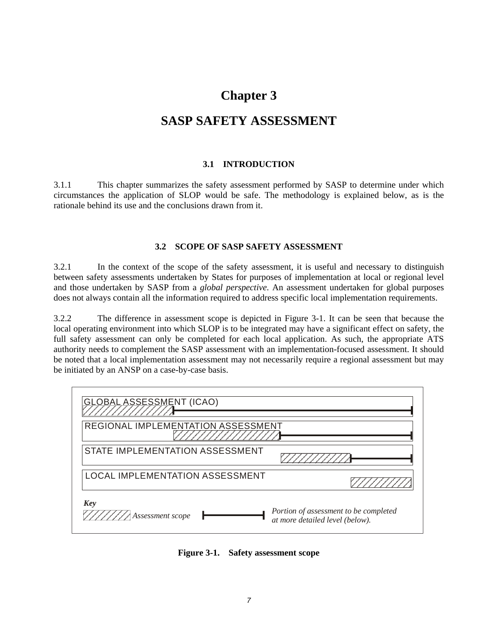# **Chapter 3**

# **SASP SAFETY ASSESSMENT**

#### **3.1 INTRODUCTION**

3.1.1 This chapter summarizes the safety assessment performed by SASP to determine under which circumstances the application of SLOP would be safe. The methodology is explained below, as is the rationale behind its use and the conclusions drawn from it.

#### **3.2 SCOPE OF SASP SAFETY ASSESSMENT**

3.2.1 In the context of the scope of the safety assessment, it is useful and necessary to distinguish between safety assessments undertaken by States for purposes of implementation at local or regional level and those undertaken by SASP from a *global perspective*. An assessment undertaken for global purposes does not always contain all the information required to address specific local implementation requirements.

3.2.2 The difference in assessment scope is depicted in Figure 3-1. It can be seen that because the local operating environment into which SLOP is to be integrated may have a significant effect on safety, the full safety assessment can only be completed for each local application. As such, the appropriate ATS authority needs to complement the SASP assessment with an implementation-focused assessment. It should be noted that a local implementation assessment may not necessarily require a regional assessment but may be initiated by an ANSP on a case-by-case basis.

| <b>GLOBAL ASSESSMENT (ICAO)</b>    |                                                                          |
|------------------------------------|--------------------------------------------------------------------------|
| REGIONAL IMPLEMENTATION ASSESSMENT |                                                                          |
| STATE IMPLEMENTATION ASSESSMENT    |                                                                          |
| LOCAL IMPLEMENTATION ASSESSMENT    |                                                                          |
| Key<br>/////// Assessment scope    | Portion of assessment to be completed<br>at more detailed level (below). |

**Figure 3-1. Safety assessment scope**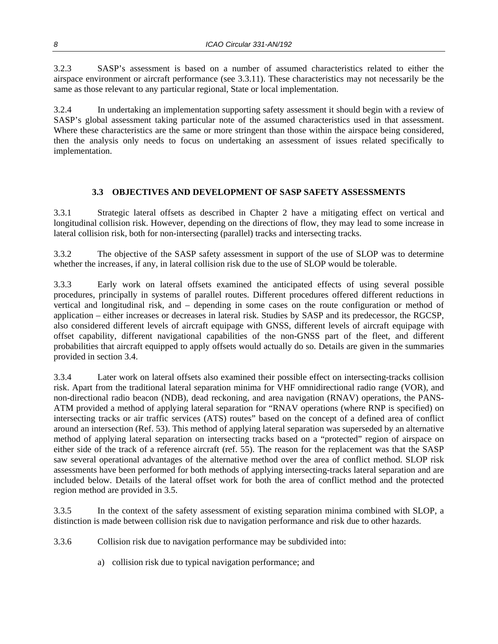3.2.3 SASP's assessment is based on a number of assumed characteristics related to either the airspace environment or aircraft performance (see 3.3.11). These characteristics may not necessarily be the same as those relevant to any particular regional, State or local implementation.

3.2.4 In undertaking an implementation supporting safety assessment it should begin with a review of SASP's global assessment taking particular note of the assumed characteristics used in that assessment. Where these characteristics are the same or more stringent than those within the airspace being considered, then the analysis only needs to focus on undertaking an assessment of issues related specifically to implementation.

#### **3.3 OBJECTIVES AND DEVELOPMENT OF SASP SAFETY ASSESSMENTS**

3.3.1 Strategic lateral offsets as described in Chapter 2 have a mitigating effect on vertical and longitudinal collision risk. However, depending on the directions of flow, they may lead to some increase in lateral collision risk, both for non-intersecting (parallel) tracks and intersecting tracks.

3.3.2 The objective of the SASP safety assessment in support of the use of SLOP was to determine whether the increases, if any, in lateral collision risk due to the use of SLOP would be tolerable.

3.3.3 Early work on lateral offsets examined the anticipated effects of using several possible procedures, principally in systems of parallel routes. Different procedures offered different reductions in vertical and longitudinal risk, and – depending in some cases on the route configuration or method of application – either increases or decreases in lateral risk. Studies by SASP and its predecessor, the RGCSP, also considered different levels of aircraft equipage with GNSS, different levels of aircraft equipage with offset capability, different navigational capabilities of the non-GNSS part of the fleet, and different probabilities that aircraft equipped to apply offsets would actually do so. Details are given in the summaries provided in section 3.4.

3.3.4 Later work on lateral offsets also examined their possible effect on intersecting-tracks collision risk. Apart from the traditional lateral separation minima for VHF omnidirectional radio range (VOR), and non-directional radio beacon (NDB), dead reckoning, and area navigation (RNAV) operations, the PANS-ATM provided a method of applying lateral separation for "RNAV operations (where RNP is specified) on intersecting tracks or air traffic services (ATS) routes" based on the concept of a defined area of conflict around an intersection (Ref. 53). This method of applying lateral separation was superseded by an alternative method of applying lateral separation on intersecting tracks based on a "protected" region of airspace on either side of the track of a reference aircraft (ref. 55). The reason for the replacement was that the SASP saw several operational advantages of the alternative method over the area of conflict method. SLOP risk assessments have been performed for both methods of applying intersecting-tracks lateral separation and are included below. Details of the lateral offset work for both the area of conflict method and the protected region method are provided in 3.5.

3.3.5 In the context of the safety assessment of existing separation minima combined with SLOP, a distinction is made between collision risk due to navigation performance and risk due to other hazards.

3.3.6 Collision risk due to navigation performance may be subdivided into:

a) collision risk due to typical navigation performance; and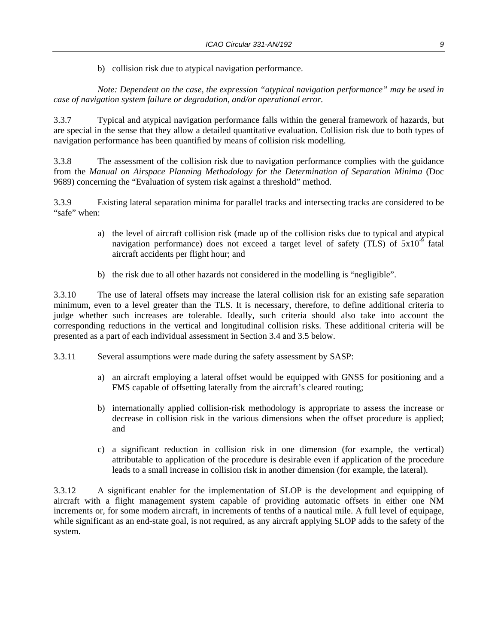b) collision risk due to atypical navigation performance.

*Note: Dependent on the case, the expression "atypical navigation performance" may be used in case of navigation system failure or degradation, and/or operational error.* 

3.3.7 Typical and atypical navigation performance falls within the general framework of hazards, but are special in the sense that they allow a detailed quantitative evaluation. Collision risk due to both types of navigation performance has been quantified by means of collision risk modelling.

3.3.8 The assessment of the collision risk due to navigation performance complies with the guidance from the *Manual on Airspace Planning Methodology for the Determination of Separation Minima* (Doc 9689) concerning the "Evaluation of system risk against a threshold" method.

3.3.9 Existing lateral separation minima for parallel tracks and intersecting tracks are considered to be "safe" when:

- a) the level of aircraft collision risk (made up of the collision risks due to typical and atypical navigation performance) does not exceed a target level of safety (TLS) of  $5x10^{-9}$  fatal aircraft accidents per flight hour; and
- b) the risk due to all other hazards not considered in the modelling is "negligible".

3.3.10 The use of lateral offsets may increase the lateral collision risk for an existing safe separation minimum, even to a level greater than the TLS. It is necessary, therefore, to define additional criteria to judge whether such increases are tolerable. Ideally, such criteria should also take into account the corresponding reductions in the vertical and longitudinal collision risks. These additional criteria will be presented as a part of each individual assessment in Section 3.4 and 3.5 below.

3.3.11 Several assumptions were made during the safety assessment by SASP:

- a) an aircraft employing a lateral offset would be equipped with GNSS for positioning and a FMS capable of offsetting laterally from the aircraft's cleared routing;
- b) internationally applied collision-risk methodology is appropriate to assess the increase or decrease in collision risk in the various dimensions when the offset procedure is applied; and
- c) a significant reduction in collision risk in one dimension (for example, the vertical) attributable to application of the procedure is desirable even if application of the procedure leads to a small increase in collision risk in another dimension (for example, the lateral).

3.3.12 A significant enabler for the implementation of SLOP is the development and equipping of aircraft with a flight management system capable of providing automatic offsets in either one NM increments or, for some modern aircraft, in increments of tenths of a nautical mile. A full level of equipage, while significant as an end-state goal, is not required, as any aircraft applying SLOP adds to the safety of the system.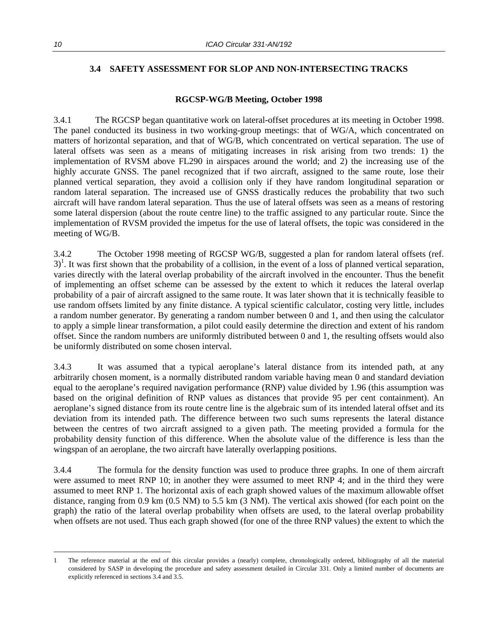#### **3.4 SAFETY ASSESSMENT FOR SLOP AND NON-INTERSECTING TRACKS**

#### **RGCSP-WG/B Meeting, October 1998**

3.4.1 The RGCSP began quantitative work on lateral-offset procedures at its meeting in October 1998. The panel conducted its business in two working-group meetings: that of WG/A, which concentrated on matters of horizontal separation, and that of WG/B, which concentrated on vertical separation. The use of lateral offsets was seen as a means of mitigating increases in risk arising from two trends: 1) the implementation of RVSM above FL290 in airspaces around the world; and 2) the increasing use of the highly accurate GNSS. The panel recognized that if two aircraft, assigned to the same route, lose their planned vertical separation, they avoid a collision only if they have random longitudinal separation or random lateral separation. The increased use of GNSS drastically reduces the probability that two such aircraft will have random lateral separation. Thus the use of lateral offsets was seen as a means of restoring some lateral dispersion (about the route centre line) to the traffic assigned to any particular route. Since the implementation of RVSM provided the impetus for the use of lateral offsets, the topic was considered in the meeting of WG/B.

3.4.2 The October 1998 meeting of RGCSP WG/B, suggested a plan for random lateral offsets (ref.  $3$ <sup>1</sup>. It was first shown that the probability of a collision, in the event of a loss of planned vertical separation, varies directly with the lateral overlap probability of the aircraft involved in the encounter. Thus the benefit of implementing an offset scheme can be assessed by the extent to which it reduces the lateral overlap probability of a pair of aircraft assigned to the same route. It was later shown that it is technically feasible to use random offsets limited by any finite distance. A typical scientific calculator, costing very little, includes a random number generator. By generating a random number between 0 and 1, and then using the calculator to apply a simple linear transformation, a pilot could easily determine the direction and extent of his random offset. Since the random numbers are uniformly distributed between 0 and 1, the resulting offsets would also be uniformly distributed on some chosen interval.

3.4.3 It was assumed that a typical aeroplane's lateral distance from its intended path, at any arbitrarily chosen moment, is a normally distributed random variable having mean 0 and standard deviation equal to the aeroplane's required navigation performance (RNP) value divided by 1.96 (this assumption was based on the original definition of RNP values as distances that provide 95 per cent containment). An aeroplane's signed distance from its route centre line is the algebraic sum of its intended lateral offset and its deviation from its intended path. The difference between two such sums represents the lateral distance between the centres of two aircraft assigned to a given path. The meeting provided a formula for the probability density function of this difference. When the absolute value of the difference is less than the wingspan of an aeroplane, the two aircraft have laterally overlapping positions.

3.4.4 The formula for the density function was used to produce three graphs. In one of them aircraft were assumed to meet RNP 10; in another they were assumed to meet RNP 4; and in the third they were assumed to meet RNP 1. The horizontal axis of each graph showed values of the maximum allowable offset distance, ranging from 0.9 km (0.5 NM) to 5.5 km (3 NM). The vertical axis showed (for each point on the graph) the ratio of the lateral overlap probability when offsets are used, to the lateral overlap probability when offsets are not used. Thus each graph showed (for one of the three RNP values) the extent to which the

1

<sup>1</sup> The reference material at the end of this circular provides a (nearly) complete, chronologically ordered, bibliography of all the material considered by SASP in developing the procedure and safety assessment detailed in Circular 331. Only a limited number of documents are explicitly referenced in sections 3.4 and 3.5.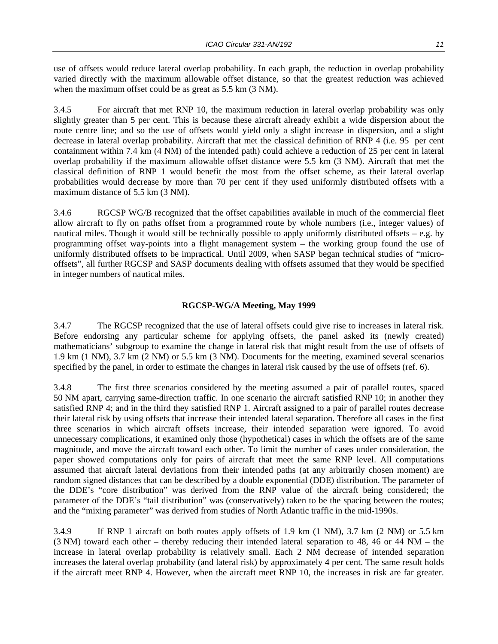use of offsets would reduce lateral overlap probability. In each graph, the reduction in overlap probability varied directly with the maximum allowable offset distance, so that the greatest reduction was achieved when the maximum offset could be as great as 5.5 km  $(3 \text{ NM})$ .

3.4.5 For aircraft that met RNP 10, the maximum reduction in lateral overlap probability was only slightly greater than 5 per cent. This is because these aircraft already exhibit a wide dispersion about the route centre line; and so the use of offsets would yield only a slight increase in dispersion, and a slight decrease in lateral overlap probability. Aircraft that met the classical definition of RNP 4 (i.e. 95 per cent containment within 7.4 km (4 NM) of the intended path) could achieve a reduction of 25 per cent in lateral overlap probability if the maximum allowable offset distance were 5.5 km (3 NM). Aircraft that met the classical definition of RNP 1 would benefit the most from the offset scheme, as their lateral overlap probabilities would decrease by more than 70 per cent if they used uniformly distributed offsets with a maximum distance of 5.5 km (3 NM).

3.4.6 RGCSP WG/B recognized that the offset capabilities available in much of the commercial fleet allow aircraft to fly on paths offset from a programmed route by whole numbers (i.e., integer values) of nautical miles. Though it would still be technically possible to apply uniformly distributed offsets – e.g. by programming offset way-points into a flight management system – the working group found the use of uniformly distributed offsets to be impractical. Until 2009, when SASP began technical studies of "microoffsets", all further RGCSP and SASP documents dealing with offsets assumed that they would be specified in integer numbers of nautical miles.

#### **RGCSP-WG/A Meeting, May 1999**

3.4.7 The RGCSP recognized that the use of lateral offsets could give rise to increases in lateral risk. Before endorsing any particular scheme for applying offsets, the panel asked its (newly created) mathematicians' subgroup to examine the change in lateral risk that might result from the use of offsets of 1.9 km (1 NM), 3.7 km (2 NM) or 5.5 km (3 NM). Documents for the meeting, examined several scenarios specified by the panel, in order to estimate the changes in lateral risk caused by the use of offsets (ref. 6).

3.4.8 The first three scenarios considered by the meeting assumed a pair of parallel routes, spaced 50 NM apart, carrying same-direction traffic. In one scenario the aircraft satisfied RNP 10; in another they satisfied RNP 4; and in the third they satisfied RNP 1. Aircraft assigned to a pair of parallel routes decrease their lateral risk by using offsets that increase their intended lateral separation. Therefore all cases in the first three scenarios in which aircraft offsets increase, their intended separation were ignored. To avoid unnecessary complications, it examined only those (hypothetical) cases in which the offsets are of the same magnitude, and move the aircraft toward each other. To limit the number of cases under consideration, the paper showed computations only for pairs of aircraft that meet the same RNP level. All computations assumed that aircraft lateral deviations from their intended paths (at any arbitrarily chosen moment) are random signed distances that can be described by a double exponential (DDE) distribution. The parameter of the DDE's "core distribution" was derived from the RNP value of the aircraft being considered; the parameter of the DDE's "tail distribution" was (conservatively) taken to be the spacing between the routes; and the "mixing parameter" was derived from studies of North Atlantic traffic in the mid-1990s.

3.4.9 If RNP 1 aircraft on both routes apply offsets of 1.9 km (1 NM), 3.7 km (2 NM) or 5.5 km (3 NM) toward each other – thereby reducing their intended lateral separation to 48, 46 or 44 NM – the increase in lateral overlap probability is relatively small. Each 2 NM decrease of intended separation increases the lateral overlap probability (and lateral risk) by approximately 4 per cent. The same result holds if the aircraft meet RNP 4. However, when the aircraft meet RNP 10, the increases in risk are far greater.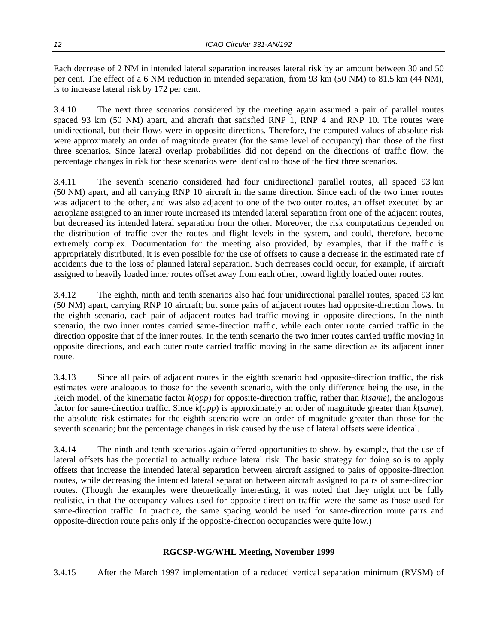Each decrease of 2 NM in intended lateral separation increases lateral risk by an amount between 30 and 50 per cent. The effect of a 6 NM reduction in intended separation, from 93 km (50 NM) to 81.5 km (44 NM), is to increase lateral risk by 172 per cent.

3.4.10 The next three scenarios considered by the meeting again assumed a pair of parallel routes spaced 93 km (50 NM) apart, and aircraft that satisfied RNP 1, RNP 4 and RNP 10. The routes were unidirectional, but their flows were in opposite directions. Therefore, the computed values of absolute risk were approximately an order of magnitude greater (for the same level of occupancy) than those of the first three scenarios. Since lateral overlap probabilities did not depend on the directions of traffic flow, the percentage changes in risk for these scenarios were identical to those of the first three scenarios.

3.4.11 The seventh scenario considered had four unidirectional parallel routes, all spaced 93 km (50 NM) apart, and all carrying RNP 10 aircraft in the same direction. Since each of the two inner routes was adjacent to the other, and was also adjacent to one of the two outer routes, an offset executed by an aeroplane assigned to an inner route increased its intended lateral separation from one of the adjacent routes, but decreased its intended lateral separation from the other. Moreover, the risk computations depended on the distribution of traffic over the routes and flight levels in the system, and could, therefore, become extremely complex. Documentation for the meeting also provided, by examples, that if the traffic is appropriately distributed, it is even possible for the use of offsets to cause a decrease in the estimated rate of accidents due to the loss of planned lateral separation. Such decreases could occur, for example, if aircraft assigned to heavily loaded inner routes offset away from each other, toward lightly loaded outer routes.

3.4.12 The eighth, ninth and tenth scenarios also had four unidirectional parallel routes, spaced 93 km (50 NM) apart, carrying RNP 10 aircraft; but some pairs of adjacent routes had opposite-direction flows. In the eighth scenario, each pair of adjacent routes had traffic moving in opposite directions. In the ninth scenario, the two inner routes carried same-direction traffic, while each outer route carried traffic in the direction opposite that of the inner routes. In the tenth scenario the two inner routes carried traffic moving in opposite directions, and each outer route carried traffic moving in the same direction as its adjacent inner route.

3.4.13 Since all pairs of adjacent routes in the eighth scenario had opposite-direction traffic, the risk estimates were analogous to those for the seventh scenario, with the only difference being the use, in the Reich model, of the kinematic factor *k*(*opp*) for opposite-direction traffic, rather than *k*(*same*), the analogous factor for same-direction traffic. Since *k*(*opp*) is approximately an order of magnitude greater than *k*(*same*), the absolute risk estimates for the eighth scenario were an order of magnitude greater than those for the seventh scenario; but the percentage changes in risk caused by the use of lateral offsets were identical.

3.4.14 The ninth and tenth scenarios again offered opportunities to show, by example, that the use of lateral offsets has the potential to actually reduce lateral risk. The basic strategy for doing so is to apply offsets that increase the intended lateral separation between aircraft assigned to pairs of opposite-direction routes, while decreasing the intended lateral separation between aircraft assigned to pairs of same-direction routes. (Though the examples were theoretically interesting, it was noted that they might not be fully realistic, in that the occupancy values used for opposite-direction traffic were the same as those used for same-direction traffic. In practice, the same spacing would be used for same-direction route pairs and opposite-direction route pairs only if the opposite-direction occupancies were quite low.)

#### **RGCSP-WG/WHL Meeting, November 1999**

3.4.15 After the March 1997 implementation of a reduced vertical separation minimum (RVSM) of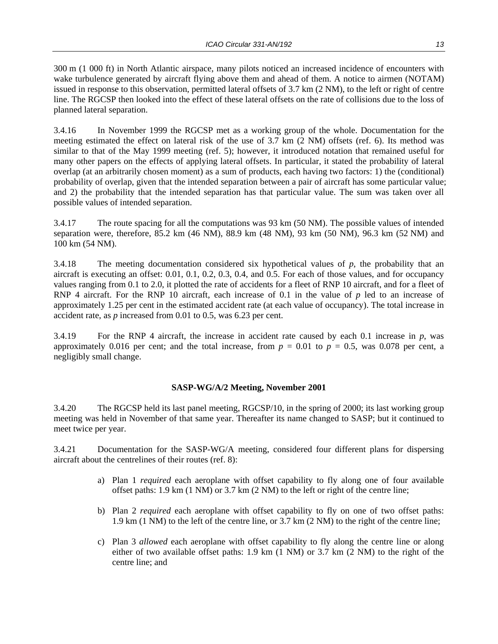300 m (1 000 ft) in North Atlantic airspace, many pilots noticed an increased incidence of encounters with wake turbulence generated by aircraft flying above them and ahead of them. A notice to airmen (NOTAM) issued in response to this observation, permitted lateral offsets of 3.7 km (2 NM), to the left or right of centre line. The RGCSP then looked into the effect of these lateral offsets on the rate of collisions due to the loss of planned lateral separation.

3.4.16 In November 1999 the RGCSP met as a working group of the whole. Documentation for the meeting estimated the effect on lateral risk of the use of 3.7 km (2 NM) offsets (ref. 6). Its method was similar to that of the May 1999 meeting (ref. 5); however, it introduced notation that remained useful for many other papers on the effects of applying lateral offsets. In particular, it stated the probability of lateral overlap (at an arbitrarily chosen moment) as a sum of products, each having two factors: 1) the (conditional) probability of overlap, given that the intended separation between a pair of aircraft has some particular value; and 2) the probability that the intended separation has that particular value. The sum was taken over all possible values of intended separation.

3.4.17 The route spacing for all the computations was 93 km (50 NM). The possible values of intended separation were, therefore,  $85.2 \text{ km}$  (46 NM),  $88.9 \text{ km}$  (48 NM), 93 km (50 NM), 96.3 km (52 NM) and 100 km (54 NM).

3.4.18 The meeting documentation considered six hypothetical values of *p*, the probability that an aircraft is executing an offset: 0.01, 0.1, 0.2, 0.3, 0.4, and 0.5. For each of those values, and for occupancy values ranging from 0.1 to 2.0, it plotted the rate of accidents for a fleet of RNP 10 aircraft, and for a fleet of RNP 4 aircraft. For the RNP 10 aircraft, each increase of 0.1 in the value of *p* led to an increase of approximately 1.25 per cent in the estimated accident rate (at each value of occupancy). The total increase in accident rate, as *p* increased from 0.01 to 0.5, was 6.23 per cent.

3.4.19 For the RNP 4 aircraft, the increase in accident rate caused by each 0.1 increase in *p*, was approximately 0.016 per cent; and the total increase, from  $p = 0.01$  to  $p = 0.5$ , was 0.078 per cent, a negligibly small change.

#### **SASP-WG/A/2 Meeting, November 2001**

3.4.20 The RGCSP held its last panel meeting, RGCSP/10, in the spring of 2000; its last working group meeting was held in November of that same year. Thereafter its name changed to SASP; but it continued to meet twice per year.

3.4.21 Documentation for the SASP-WG/A meeting, considered four different plans for dispersing aircraft about the centrelines of their routes (ref. 8):

- a) Plan 1 *required* each aeroplane with offset capability to fly along one of four available offset paths: 1.9 km (1 NM) or 3.7 km (2 NM) to the left or right of the centre line;
- b) Plan 2 *required* each aeroplane with offset capability to fly on one of two offset paths: 1.9 km (1 NM) to the left of the centre line, or 3.7 km (2 NM) to the right of the centre line;
- c) Plan 3 *allowed* each aeroplane with offset capability to fly along the centre line or along either of two available offset paths: 1.9 km (1 NM) or 3.7 km (2 NM) to the right of the centre line; and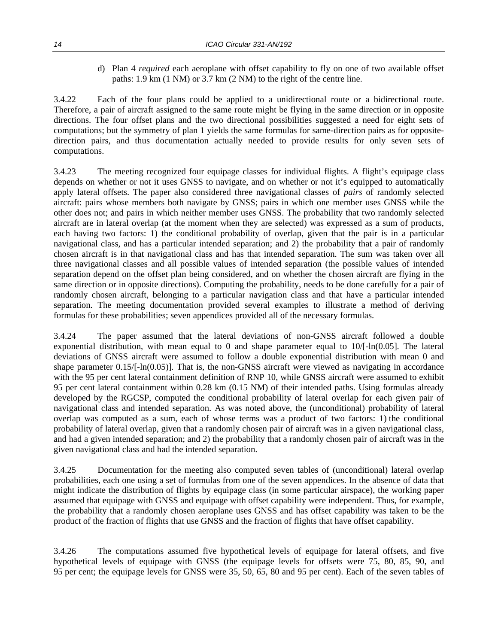d) Plan 4 *required* each aeroplane with offset capability to fly on one of two available offset paths: 1.9 km (1 NM) or 3.7 km (2 NM) to the right of the centre line.

3.4.22 Each of the four plans could be applied to a unidirectional route or a bidirectional route. Therefore, a pair of aircraft assigned to the same route might be flying in the same direction or in opposite directions. The four offset plans and the two directional possibilities suggested a need for eight sets of computations; but the symmetry of plan 1 yields the same formulas for same-direction pairs as for oppositedirection pairs, and thus documentation actually needed to provide results for only seven sets of computations.

3.4.23 The meeting recognized four equipage classes for individual flights. A flight's equipage class depends on whether or not it uses GNSS to navigate, and on whether or not it's equipped to automatically apply lateral offsets. The paper also considered three navigational classes of *pairs* of randomly selected aircraft: pairs whose members both navigate by GNSS; pairs in which one member uses GNSS while the other does not; and pairs in which neither member uses GNSS. The probability that two randomly selected aircraft are in lateral overlap (at the moment when they are selected) was expressed as a sum of products, each having two factors: 1) the conditional probability of overlap, given that the pair is in a particular navigational class, and has a particular intended separation; and 2) the probability that a pair of randomly chosen aircraft is in that navigational class and has that intended separation. The sum was taken over all three navigational classes and all possible values of intended separation (the possible values of intended separation depend on the offset plan being considered, and on whether the chosen aircraft are flying in the same direction or in opposite directions). Computing the probability, needs to be done carefully for a pair of randomly chosen aircraft, belonging to a particular navigation class and that have a particular intended separation. The meeting documentation provided several examples to illustrate a method of deriving formulas for these probabilities; seven appendices provided all of the necessary formulas.

3.4.24 The paper assumed that the lateral deviations of non-GNSS aircraft followed a double exponential distribution, with mean equal to 0 and shape parameter equal to  $10/[-\ln(0.05)]$ . The lateral deviations of GNSS aircraft were assumed to follow a double exponential distribution with mean 0 and shape parameter 0.15/[-ln(0.05)]. That is, the non-GNSS aircraft were viewed as navigating in accordance with the 95 per cent lateral containment definition of RNP 10, while GNSS aircraft were assumed to exhibit 95 per cent lateral containment within 0.28 km (0.15 NM) of their intended paths. Using formulas already developed by the RGCSP, computed the conditional probability of lateral overlap for each given pair of navigational class and intended separation. As was noted above, the (unconditional) probability of lateral overlap was computed as a sum, each of whose terms was a product of two factors: 1) the conditional probability of lateral overlap, given that a randomly chosen pair of aircraft was in a given navigational class, and had a given intended separation; and 2) the probability that a randomly chosen pair of aircraft was in the given navigational class and had the intended separation.

3.4.25 Documentation for the meeting also computed seven tables of (unconditional) lateral overlap probabilities, each one using a set of formulas from one of the seven appendices. In the absence of data that might indicate the distribution of flights by equipage class (in some particular airspace), the working paper assumed that equipage with GNSS and equipage with offset capability were independent. Thus, for example, the probability that a randomly chosen aeroplane uses GNSS and has offset capability was taken to be the product of the fraction of flights that use GNSS and the fraction of flights that have offset capability.

3.4.26 The computations assumed five hypothetical levels of equipage for lateral offsets, and five hypothetical levels of equipage with GNSS (the equipage levels for offsets were 75, 80, 85, 90, and 95 per cent; the equipage levels for GNSS were 35, 50, 65, 80 and 95 per cent). Each of the seven tables of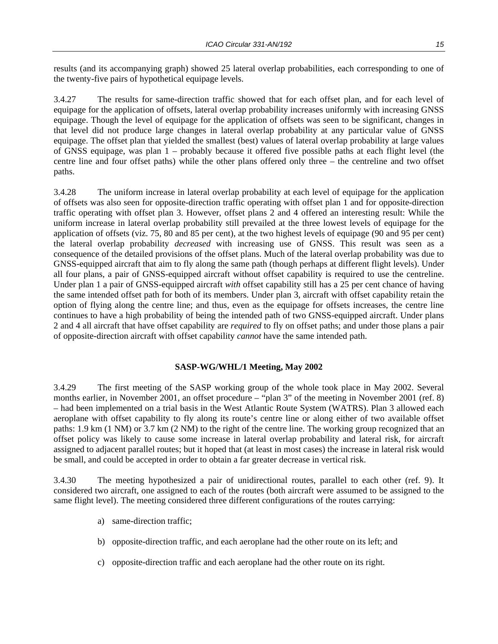results (and its accompanying graph) showed 25 lateral overlap probabilities, each corresponding to one of the twenty-five pairs of hypothetical equipage levels.

3.4.27 The results for same-direction traffic showed that for each offset plan, and for each level of equipage for the application of offsets, lateral overlap probability increases uniformly with increasing GNSS equipage. Though the level of equipage for the application of offsets was seen to be significant, changes in that level did not produce large changes in lateral overlap probability at any particular value of GNSS equipage. The offset plan that yielded the smallest (best) values of lateral overlap probability at large values of GNSS equipage, was plan 1 – probably because it offered five possible paths at each flight level (the centre line and four offset paths) while the other plans offered only three – the centreline and two offset paths.

3.4.28 The uniform increase in lateral overlap probability at each level of equipage for the application of offsets was also seen for opposite-direction traffic operating with offset plan 1 and for opposite-direction traffic operating with offset plan 3. However, offset plans 2 and 4 offered an interesting result: While the uniform increase in lateral overlap probability still prevailed at the three lowest levels of equipage for the application of offsets (viz. 75, 80 and 85 per cent), at the two highest levels of equipage (90 and 95 per cent) the lateral overlap probability *decreased* with increasing use of GNSS. This result was seen as a consequence of the detailed provisions of the offset plans. Much of the lateral overlap probability was due to GNSS-equipped aircraft that aim to fly along the same path (though perhaps at different flight levels). Under all four plans, a pair of GNSS-equipped aircraft without offset capability is required to use the centreline. Under plan 1 a pair of GNSS-equipped aircraft *with* offset capability still has a 25 per cent chance of having the same intended offset path for both of its members. Under plan 3, aircraft with offset capability retain the option of flying along the centre line; and thus, even as the equipage for offsets increases, the centre line continues to have a high probability of being the intended path of two GNSS-equipped aircraft. Under plans 2 and 4 all aircraft that have offset capability are *required* to fly on offset paths; and under those plans a pair of opposite-direction aircraft with offset capability *cannot* have the same intended path.

#### **SASP-WG/WHL/1 Meeting, May 2002**

3.4.29 The first meeting of the SASP working group of the whole took place in May 2002. Several months earlier, in November 2001, an offset procedure – "plan 3" of the meeting in November 2001 (ref. 8) – had been implemented on a trial basis in the West Atlantic Route System (WATRS). Plan 3 allowed each aeroplane with offset capability to fly along its route's centre line or along either of two available offset paths: 1.9 km (1 NM) or 3.7 km (2 NM) to the right of the centre line. The working group recognized that an offset policy was likely to cause some increase in lateral overlap probability and lateral risk, for aircraft assigned to adjacent parallel routes; but it hoped that (at least in most cases) the increase in lateral risk would be small, and could be accepted in order to obtain a far greater decrease in vertical risk.

3.4.30 The meeting hypothesized a pair of unidirectional routes, parallel to each other (ref. 9). It considered two aircraft, one assigned to each of the routes (both aircraft were assumed to be assigned to the same flight level). The meeting considered three different configurations of the routes carrying:

- a) same-direction traffic;
- b) opposite-direction traffic, and each aeroplane had the other route on its left; and
- c) opposite-direction traffic and each aeroplane had the other route on its right.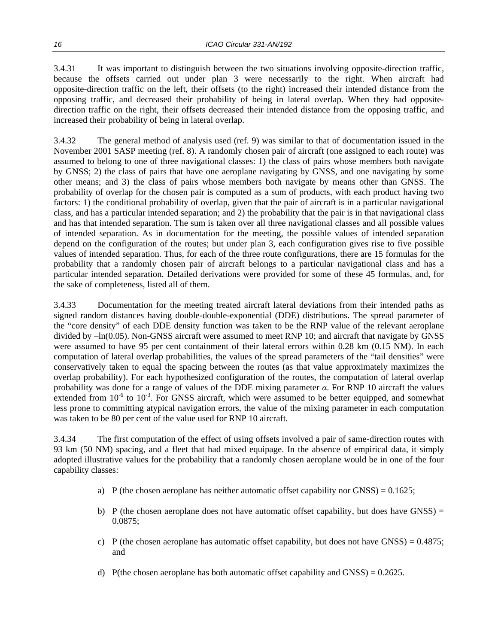3.4.31 It was important to distinguish between the two situations involving opposite-direction traffic, because the offsets carried out under plan 3 were necessarily to the right. When aircraft had opposite-direction traffic on the left, their offsets (to the right) increased their intended distance from the opposing traffic, and decreased their probability of being in lateral overlap. When they had oppositedirection traffic on the right, their offsets decreased their intended distance from the opposing traffic, and increased their probability of being in lateral overlap.

3.4.32 The general method of analysis used (ref. 9) was similar to that of documentation issued in the November 2001 SASP meeting (ref. 8). A randomly chosen pair of aircraft (one assigned to each route) was assumed to belong to one of three navigational classes: 1) the class of pairs whose members both navigate by GNSS; 2) the class of pairs that have one aeroplane navigating by GNSS, and one navigating by some other means; and 3) the class of pairs whose members both navigate by means other than GNSS. The probability of overlap for the chosen pair is computed as a sum of products, with each product having two factors: 1) the conditional probability of overlap, given that the pair of aircraft is in a particular navigational class, and has a particular intended separation; and 2) the probability that the pair is in that navigational class and has that intended separation. The sum is taken over all three navigational classes and all possible values of intended separation. As in documentation for the meeting, the possible values of intended separation depend on the configuration of the routes; but under plan 3, each configuration gives rise to five possible values of intended separation. Thus, for each of the three route configurations, there are 15 formulas for the probability that a randomly chosen pair of aircraft belongs to a particular navigational class and has a particular intended separation. Detailed derivations were provided for some of these 45 formulas, and, for the sake of completeness, listed all of them.

3.4.33 Documentation for the meeting treated aircraft lateral deviations from their intended paths as signed random distances having double-double-exponential (DDE) distributions. The spread parameter of the "core density" of each DDE density function was taken to be the RNP value of the relevant aeroplane divided by –ln(0.05). Non-GNSS aircraft were assumed to meet RNP 10; and aircraft that navigate by GNSS were assumed to have 95 per cent containment of their lateral errors within 0.28 km (0.15 NM). In each computation of lateral overlap probabilities, the values of the spread parameters of the "tail densities" were conservatively taken to equal the spacing between the routes (as that value approximately maximizes the overlap probability). For each hypothesized configuration of the routes, the computation of lateral overlap probability was done for a range of values of the DDE mixing parameter *α*. For RNP 10 aircraft the values extended from  $10^{-6}$  to  $10^{-3}$ . For GNSS aircraft, which were assumed to be better equipped, and somewhat less prone to committing atypical navigation errors, the value of the mixing parameter in each computation was taken to be 80 per cent of the value used for RNP 10 aircraft.

3.4.34 The first computation of the effect of using offsets involved a pair of same-direction routes with 93 km (50 NM) spacing, and a fleet that had mixed equipage. In the absence of empirical data, it simply adopted illustrative values for the probability that a randomly chosen aeroplane would be in one of the four capability classes:

- a) P (the chosen aeroplane has neither automatic offset capability nor  $GNSS$ ) = 0.1625;
- b) P (the chosen aeroplane does not have automatic offset capability, but does have GNSS)  $=$ 0.0875;
- c) P (the chosen aeroplane has automatic offset capability, but does not have GNSS) =  $0.4875$ ; and
- d) P(the chosen aeroplane has both automatic offset capability and  $GNSS$ ) = 0.2625.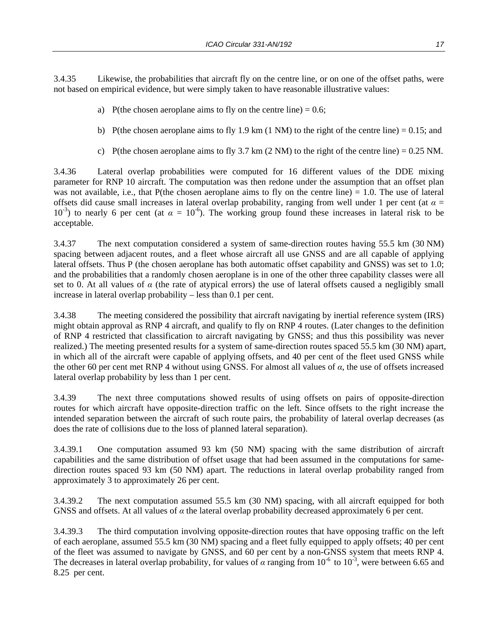3.4.35 Likewise, the probabilities that aircraft fly on the centre line, or on one of the offset paths, were not based on empirical evidence, but were simply taken to have reasonable illustrative values:

- a) P(the chosen aeroplane aims to fly on the centre line)  $= 0.6$ ;
- b) P(the chosen aeroplane aims to fly 1.9 km (1 NM) to the right of the centre line) = 0.15; and
- c) P(the chosen aeroplane aims to fly 3.7 km  $(2 NM)$  to the right of the centre line) = 0.25 NM.

3.4.36 Lateral overlap probabilities were computed for 16 different values of the DDE mixing parameter for RNP 10 aircraft. The computation was then redone under the assumption that an offset plan was not available, i.e., that P(the chosen aeroplane aims to fly on the centre line)  $= 1.0$ . The use of lateral offsets did cause small increases in lateral overlap probability, ranging from well under 1 per cent (at *α* =  $10^{-3}$ ) to nearly 6 per cent (at  $\alpha = 10^{-6}$ ). The working group found these increases in lateral risk to be acceptable.

3.4.37 The next computation considered a system of same-direction routes having 55.5 km (30 NM) spacing between adjacent routes, and a fleet whose aircraft all use GNSS and are all capable of applying lateral offsets. Thus P (the chosen aeroplane has both automatic offset capability and GNSS) was set to 1.0; and the probabilities that a randomly chosen aeroplane is in one of the other three capability classes were all set to 0. At all values of  $\alpha$  (the rate of atypical errors) the use of lateral offsets caused a negligibly small increase in lateral overlap probability – less than 0.1 per cent.

3.4.38 The meeting considered the possibility that aircraft navigating by inertial reference system (IRS) might obtain approval as RNP 4 aircraft, and qualify to fly on RNP 4 routes. (Later changes to the definition of RNP 4 restricted that classification to aircraft navigating by GNSS; and thus this possibility was never realized.) The meeting presented results for a system of same-direction routes spaced 55.5 km (30 NM) apart, in which all of the aircraft were capable of applying offsets, and 40 per cent of the fleet used GNSS while the other 60 per cent met RNP 4 without using GNSS. For almost all values of *α*, the use of offsets increased lateral overlap probability by less than 1 per cent.

3.4.39 The next three computations showed results of using offsets on pairs of opposite-direction routes for which aircraft have opposite-direction traffic on the left. Since offsets to the right increase the intended separation between the aircraft of such route pairs, the probability of lateral overlap decreases (as does the rate of collisions due to the loss of planned lateral separation).

3.4.39.1 One computation assumed 93 km (50 NM) spacing with the same distribution of aircraft capabilities and the same distribution of offset usage that had been assumed in the computations for samedirection routes spaced 93 km (50 NM) apart. The reductions in lateral overlap probability ranged from approximately 3 to approximately 26 per cent.

3.4.39.2 The next computation assumed 55.5 km (30 NM) spacing, with all aircraft equipped for both GNSS and offsets. At all values of *α* the lateral overlap probability decreased approximately 6 per cent.

3.4.39.3 The third computation involving opposite-direction routes that have opposing traffic on the left of each aeroplane, assumed 55.5 km (30 NM) spacing and a fleet fully equipped to apply offsets; 40 per cent of the fleet was assumed to navigate by GNSS, and 60 per cent by a non-GNSS system that meets RNP 4. The decreases in lateral overlap probability, for values of *α* ranging from  $10^{-6}$  to  $10^{-3}$ , were between 6.65 and 8.25 per cent.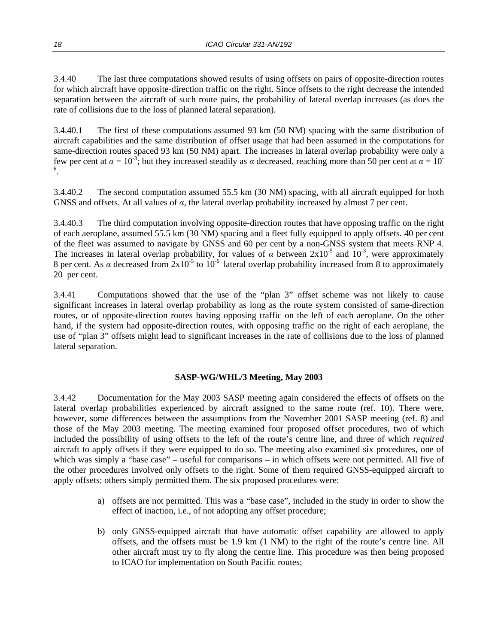3.4.40 The last three computations showed results of using offsets on pairs of opposite-direction routes for which aircraft have opposite-direction traffic on the right. Since offsets to the right decrease the intended separation between the aircraft of such route pairs, the probability of lateral overlap increases (as does the rate of collisions due to the loss of planned lateral separation).

3.4.40.1 The first of these computations assumed 93 km (50 NM) spacing with the same distribution of aircraft capabilities and the same distribution of offset usage that had been assumed in the computations for same-direction routes spaced 93 km (50 NM) apart. The increases in lateral overlap probability were only a few per cent at  $\alpha = 10^{-3}$ ; but they increased steadily as *α* decreased, reaching more than 50 per cent at  $\alpha = 10^{-3}$ . 6 .

3.4.40.2 The second computation assumed 55.5 km (30 NM) spacing, with all aircraft equipped for both GNSS and offsets. At all values of *α,* the lateral overlap probability increased by almost 7 per cent.

3.4.40.3 The third computation involving opposite-direction routes that have opposing traffic on the right of each aeroplane, assumed 55.5 km (30 NM) spacing and a fleet fully equipped to apply offsets. 40 per cent of the fleet was assumed to navigate by GNSS and 60 per cent by a non-GNSS system that meets RNP 4. The increases in lateral overlap probability, for values of  $\alpha$  between  $2x10^{-5}$  and  $10^{-3}$ , were approximately 8 per cent. As  $\alpha$  decreased from  $2x10^{-5}$  to  $10^{-6}$  lateral overlap probability increased from 8 to approximately 20 per cent.

3.4.41 Computations showed that the use of the "plan 3" offset scheme was not likely to cause significant increases in lateral overlap probability as long as the route system consisted of same-direction routes, or of opposite-direction routes having opposing traffic on the left of each aeroplane. On the other hand, if the system had opposite-direction routes, with opposing traffic on the right of each aeroplane, the use of "plan 3" offsets might lead to significant increases in the rate of collisions due to the loss of planned lateral separation.

#### **SASP-WG/WHL/3 Meeting, May 2003**

3.4.42 Documentation for the May 2003 SASP meeting again considered the effects of offsets on the lateral overlap probabilities experienced by aircraft assigned to the same route (ref. 10). There were, however, some differences between the assumptions from the November 2001 SASP meeting (ref. 8) and those of the May 2003 meeting. The meeting examined four proposed offset procedures, two of which included the possibility of using offsets to the left of the route's centre line, and three of which *required* aircraft to apply offsets if they were equipped to do so. The meeting also examined six procedures, one of which was simply a "base case" – useful for comparisons – in which offsets were not permitted. All five of the other procedures involved only offsets to the right. Some of them required GNSS-equipped aircraft to apply offsets; others simply permitted them. The six proposed procedures were:

- a) offsets are not permitted. This was a "base case", included in the study in order to show the effect of inaction, i.e., of not adopting any offset procedure;
- b) only GNSS-equipped aircraft that have automatic offset capability are allowed to apply offsets, and the offsets must be 1.9 km (1 NM) to the right of the route's centre line. All other aircraft must try to fly along the centre line. This procedure was then being proposed to ICAO for implementation on South Pacific routes;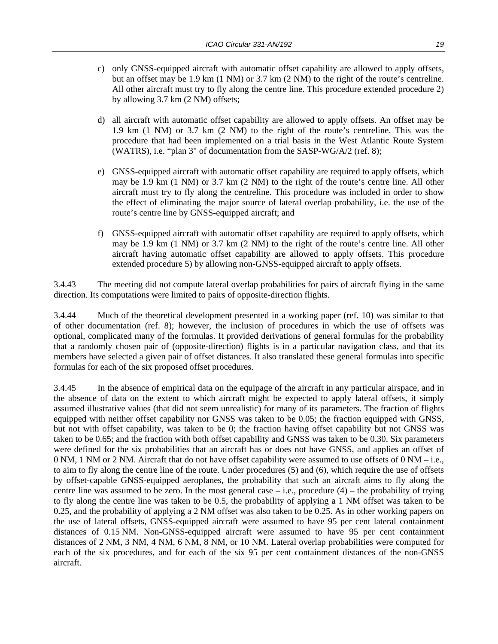- c) only GNSS-equipped aircraft with automatic offset capability are allowed to apply offsets, but an offset may be 1.9 km (1 NM) or 3.7 km (2 NM) to the right of the route's centreline. All other aircraft must try to fly along the centre line. This procedure extended procedure 2) by allowing 3.7 km (2 NM) offsets;
- d) all aircraft with automatic offset capability are allowed to apply offsets. An offset may be 1.9 km (1 NM) or 3.7 km (2 NM) to the right of the route's centreline. This was the procedure that had been implemented on a trial basis in the West Atlantic Route System (WATRS), i.e. "plan 3" of documentation from the SASP-WG/A/2 (ref. 8);
- e) GNSS-equipped aircraft with automatic offset capability are required to apply offsets, which may be 1.9 km (1 NM) or 3.7 km (2 NM) to the right of the route's centre line. All other aircraft must try to fly along the centreline. This procedure was included in order to show the effect of eliminating the major source of lateral overlap probability, i.e. the use of the route's centre line by GNSS-equipped aircraft; and
- f) GNSS-equipped aircraft with automatic offset capability are required to apply offsets, which may be 1.9 km (1 NM) or 3.7 km (2 NM) to the right of the route's centre line. All other aircraft having automatic offset capability are allowed to apply offsets. This procedure extended procedure 5) by allowing non-GNSS-equipped aircraft to apply offsets.

3.4.43 The meeting did not compute lateral overlap probabilities for pairs of aircraft flying in the same direction. Its computations were limited to pairs of opposite-direction flights.

3.4.44 Much of the theoretical development presented in a working paper (ref. 10) was similar to that of other documentation (ref. 8); however, the inclusion of procedures in which the use of offsets was optional, complicated many of the formulas. It provided derivations of general formulas for the probability that a randomly chosen pair of (opposite-direction) flights is in a particular navigation class, and that its members have selected a given pair of offset distances. It also translated these general formulas into specific formulas for each of the six proposed offset procedures.

3.4.45 In the absence of empirical data on the equipage of the aircraft in any particular airspace, and in the absence of data on the extent to which aircraft might be expected to apply lateral offsets, it simply assumed illustrative values (that did not seem unrealistic) for many of its parameters. The fraction of flights equipped with neither offset capability nor GNSS was taken to be 0.05; the fraction equipped with GNSS, but not with offset capability, was taken to be 0; the fraction having offset capability but not GNSS was taken to be 0.65; and the fraction with both offset capability and GNSS was taken to be 0.30. Six parameters were defined for the six probabilities that an aircraft has or does not have GNSS, and applies an offset of 0 NM, 1 NM or 2 NM. Aircraft that do not have offset capability were assumed to use offsets of 0 NM – i.e., to aim to fly along the centre line of the route. Under procedures (5) and (6), which require the use of offsets by offset-capable GNSS-equipped aeroplanes, the probability that such an aircraft aims to fly along the centre line was assumed to be zero. In the most general case – i.e., procedure (4) – the probability of trying to fly along the centre line was taken to be 0.5, the probability of applying a 1 NM offset was taken to be 0.25, and the probability of applying a 2 NM offset was also taken to be 0.25. As in other working papers on the use of lateral offsets, GNSS-equipped aircraft were assumed to have 95 per cent lateral containment distances of 0.15 NM. Non-GNSS-equipped aircraft were assumed to have 95 per cent containment distances of 2 NM, 3 NM, 4 NM, 6 NM, 8 NM, or 10 NM. Lateral overlap probabilities were computed for each of the six procedures, and for each of the six 95 per cent containment distances of the non-GNSS aircraft.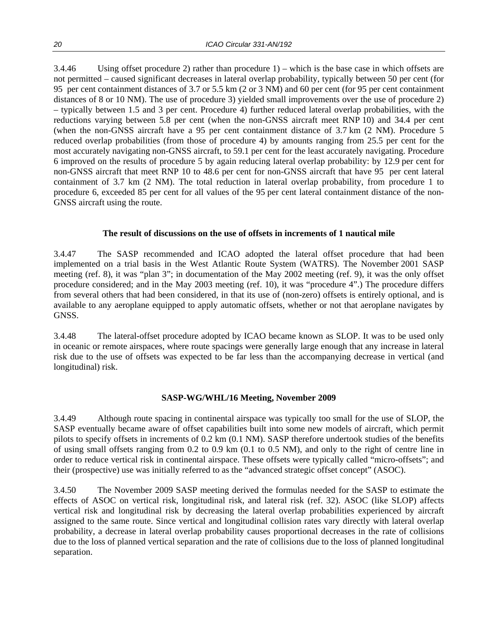3.4.46 Using offset procedure 2) rather than procedure 1) – which is the base case in which offsets are not permitted – caused significant decreases in lateral overlap probability, typically between 50 per cent (for 95 per cent containment distances of 3.7 or 5.5 km (2 or 3 NM) and 60 per cent (for 95 per cent containment distances of 8 or 10 NM). The use of procedure 3) yielded small improvements over the use of procedure 2) – typically between 1.5 and 3 per cent. Procedure 4) further reduced lateral overlap probabilities, with the reductions varying between 5.8 per cent (when the non-GNSS aircraft meet RNP 10) and 34.4 per cent (when the non-GNSS aircraft have a 95 per cent containment distance of 3.7 km (2 NM). Procedure 5 reduced overlap probabilities (from those of procedure 4) by amounts ranging from 25.5 per cent for the most accurately navigating non-GNSS aircraft, to 59.1 per cent for the least accurately navigating. Procedure 6 improved on the results of procedure 5 by again reducing lateral overlap probability: by 12.9 per cent for non-GNSS aircraft that meet RNP 10 to 48.6 per cent for non-GNSS aircraft that have 95 per cent lateral containment of 3.7 km (2 NM). The total reduction in lateral overlap probability, from procedure 1 to procedure 6, exceeded 85 per cent for all values of the 95 per cent lateral containment distance of the non-GNSS aircraft using the route.

#### **The result of discussions on the use of offsets in increments of 1 nautical mile**

3.4.47 The SASP recommended and ICAO adopted the lateral offset procedure that had been implemented on a trial basis in the West Atlantic Route System (WATRS). The November 2001 SASP meeting (ref. 8), it was "plan 3"; in documentation of the May 2002 meeting (ref. 9), it was the only offset procedure considered; and in the May 2003 meeting (ref. 10), it was "procedure 4".) The procedure differs from several others that had been considered, in that its use of (non-zero) offsets is entirely optional, and is available to any aeroplane equipped to apply automatic offsets, whether or not that aeroplane navigates by GNSS.

3.4.48 The lateral-offset procedure adopted by ICAO became known as SLOP. It was to be used only in oceanic or remote airspaces, where route spacings were generally large enough that any increase in lateral risk due to the use of offsets was expected to be far less than the accompanying decrease in vertical (and longitudinal) risk.

#### **SASP-WG/WHL/16 Meeting, November 2009**

3.4.49 Although route spacing in continental airspace was typically too small for the use of SLOP, the SASP eventually became aware of offset capabilities built into some new models of aircraft, which permit pilots to specify offsets in increments of 0.2 km (0.1 NM). SASP therefore undertook studies of the benefits of using small offsets ranging from 0.2 to 0.9 km (0.1 to 0.5 NM), and only to the right of centre line in order to reduce vertical risk in continental airspace. These offsets were typically called "micro-offsets"; and their (prospective) use was initially referred to as the "advanced strategic offset concept" (ASOC).

3.4.50 The November 2009 SASP meeting derived the formulas needed for the SASP to estimate the effects of ASOC on vertical risk, longitudinal risk, and lateral risk (ref. 32). ASOC (like SLOP) affects vertical risk and longitudinal risk by decreasing the lateral overlap probabilities experienced by aircraft assigned to the same route. Since vertical and longitudinal collision rates vary directly with lateral overlap probability, a decrease in lateral overlap probability causes proportional decreases in the rate of collisions due to the loss of planned vertical separation and the rate of collisions due to the loss of planned longitudinal separation.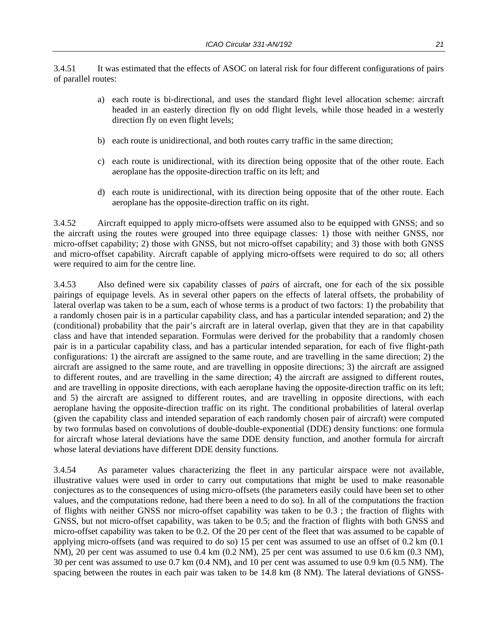3.4.51 It was estimated that the effects of ASOC on lateral risk for four different configurations of pairs of parallel routes:

- a) each route is bi-directional, and uses the standard flight level allocation scheme: aircraft headed in an easterly direction fly on odd flight levels, while those headed in a westerly direction fly on even flight levels;
- b) each route is unidirectional, and both routes carry traffic in the same direction;
- c) each route is unidirectional, with its direction being opposite that of the other route. Each aeroplane has the opposite-direction traffic on its left; and
- d) each route is unidirectional, with its direction being opposite that of the other route. Each aeroplane has the opposite-direction traffic on its right.

3.4.52 Aircraft equipped to apply micro-offsets were assumed also to be equipped with GNSS; and so the aircraft using the routes were grouped into three equipage classes: 1) those with neither GNSS, nor micro-offset capability; 2) those with GNSS, but not micro-offset capability; and 3) those with both GNSS and micro-offset capability. Aircraft capable of applying micro-offsets were required to do so; all others were required to aim for the centre line.

3.4.53 Also defined were six capability classes of *pairs* of aircraft, one for each of the six possible pairings of equipage levels. As in several other papers on the effects of lateral offsets, the probability of lateral overlap was taken to be a sum, each of whose terms is a product of two factors: 1) the probability that a randomly chosen pair is in a particular capability class, and has a particular intended separation; and 2) the (conditional) probability that the pair's aircraft are in lateral overlap, given that they are in that capability class and have that intended separation. Formulas were derived for the probability that a randomly chosen pair is in a particular capability class, and has a particular intended separation, for each of five flight-path configurations: 1) the aircraft are assigned to the same route, and are travelling in the same direction; 2) the aircraft are assigned to the same route, and are travelling in opposite directions; 3) the aircraft are assigned to different routes, and are travelling in the same direction; 4) the aircraft are assigned to different routes, and are travelling in opposite directions, with each aeroplane having the opposite-direction traffic on its left; and 5) the aircraft are assigned to different routes, and are travelling in opposite directions, with each aeroplane having the opposite-direction traffic on its right. The conditional probabilities of lateral overlap (given the capability class and intended separation of each randomly chosen pair of aircraft) were computed by two formulas based on convolutions of double-double-exponential (DDE) density functions: one formula for aircraft whose lateral deviations have the same DDE density function, and another formula for aircraft whose lateral deviations have different DDE density functions.

3.4.54 As parameter values characterizing the fleet in any particular airspace were not available, illustrative values were used in order to carry out computations that might be used to make reasonable conjectures as to the consequences of using micro-offsets (the parameters easily could have been set to other values, and the computations redone, had there been a need to do so). In all of the computations the fraction of flights with neither GNSS nor micro-offset capability was taken to be 0.3 ; the fraction of flights with GNSS, but not micro-offset capability, was taken to be 0.5; and the fraction of flights with both GNSS and micro-offset capability was taken to be 0.2. Of the 20 per cent of the fleet that was assumed to be capable of applying micro-offsets (and was required to do so) 15 per cent was assumed to use an offset of 0.2 km (0.1 NM), 20 per cent was assumed to use 0.4 km (0.2 NM), 25 per cent was assumed to use 0.6 km (0.3 NM), 30 per cent was assumed to use 0.7 km (0.4 NM), and 10 per cent was assumed to use 0.9 km (0.5 NM). The spacing between the routes in each pair was taken to be 14.8 km (8 NM). The lateral deviations of GNSS-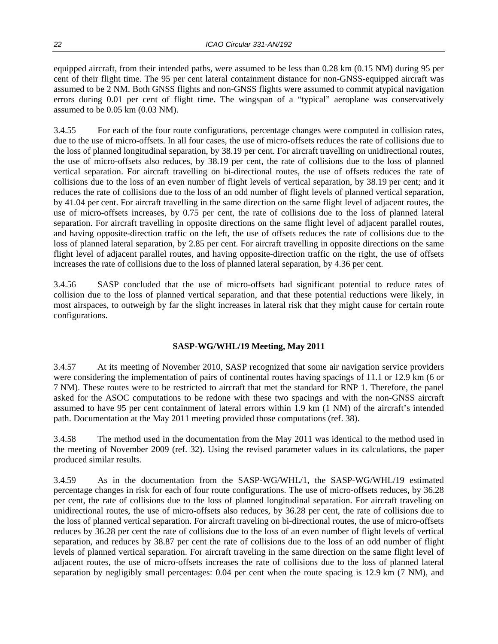equipped aircraft, from their intended paths, were assumed to be less than 0.28 km (0.15 NM) during 95 per cent of their flight time. The 95 per cent lateral containment distance for non-GNSS-equipped aircraft was assumed to be 2 NM. Both GNSS flights and non-GNSS flights were assumed to commit atypical navigation errors during 0.01 per cent of flight time. The wingspan of a "typical" aeroplane was conservatively assumed to be 0.05 km (0.03 NM).

3.4.55 For each of the four route configurations, percentage changes were computed in collision rates, due to the use of micro-offsets. In all four cases, the use of micro-offsets reduces the rate of collisions due to the loss of planned longitudinal separation, by 38.19 per cent. For aircraft travelling on unidirectional routes, the use of micro-offsets also reduces, by 38.19 per cent, the rate of collisions due to the loss of planned vertical separation. For aircraft travelling on bi-directional routes, the use of offsets reduces the rate of collisions due to the loss of an even number of flight levels of vertical separation, by 38.19 per cent; and it reduces the rate of collisions due to the loss of an odd number of flight levels of planned vertical separation, by 41.04 per cent. For aircraft travelling in the same direction on the same flight level of adjacent routes, the use of micro-offsets increases, by 0.75 per cent, the rate of collisions due to the loss of planned lateral separation. For aircraft travelling in opposite directions on the same flight level of adjacent parallel routes, and having opposite-direction traffic on the left, the use of offsets reduces the rate of collisions due to the loss of planned lateral separation, by 2.85 per cent. For aircraft travelling in opposite directions on the same flight level of adjacent parallel routes, and having opposite-direction traffic on the right, the use of offsets increases the rate of collisions due to the loss of planned lateral separation, by 4.36 per cent.

3.4.56 SASP concluded that the use of micro-offsets had significant potential to reduce rates of collision due to the loss of planned vertical separation, and that these potential reductions were likely, in most airspaces, to outweigh by far the slight increases in lateral risk that they might cause for certain route configurations.

#### **SASP-WG/WHL/19 Meeting, May 2011**

3.4.57 At its meeting of November 2010, SASP recognized that some air navigation service providers were considering the implementation of pairs of continental routes having spacings of 11.1 or 12.9 km (6 or 7 NM). These routes were to be restricted to aircraft that met the standard for RNP 1. Therefore, the panel asked for the ASOC computations to be redone with these two spacings and with the non-GNSS aircraft assumed to have 95 per cent containment of lateral errors within 1.9 km (1 NM) of the aircraft's intended path. Documentation at the May 2011 meeting provided those computations (ref. 38).

3.4.58 The method used in the documentation from the May 2011 was identical to the method used in the meeting of November 2009 (ref. 32). Using the revised parameter values in its calculations, the paper produced similar results.

3.4.59 As in the documentation from the SASP-WG/WHL/1, the SASP-WG/WHL/19 estimated percentage changes in risk for each of four route configurations. The use of micro-offsets reduces, by 36.28 per cent, the rate of collisions due to the loss of planned longitudinal separation. For aircraft traveling on unidirectional routes, the use of micro-offsets also reduces, by 36.28 per cent, the rate of collisions due to the loss of planned vertical separation. For aircraft traveling on bi-directional routes, the use of micro-offsets reduces by 36.28 per cent the rate of collisions due to the loss of an even number of flight levels of vertical separation, and reduces by 38.87 per cent the rate of collisions due to the loss of an odd number of flight levels of planned vertical separation. For aircraft traveling in the same direction on the same flight level of adjacent routes, the use of micro-offsets increases the rate of collisions due to the loss of planned lateral separation by negligibly small percentages: 0.04 per cent when the route spacing is 12.9 km (7 NM), and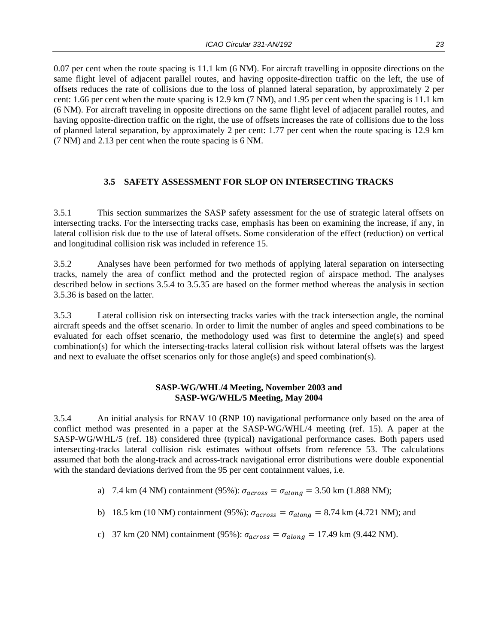0.07 per cent when the route spacing is 11.1 km (6 NM). For aircraft travelling in opposite directions on the same flight level of adjacent parallel routes, and having opposite-direction traffic on the left, the use of offsets reduces the rate of collisions due to the loss of planned lateral separation, by approximately 2 per cent: 1.66 per cent when the route spacing is 12.9 km (7 NM), and 1.95 per cent when the spacing is 11.1 km (6 NM). For aircraft traveling in opposite directions on the same flight level of adjacent parallel routes, and having opposite-direction traffic on the right, the use of offsets increases the rate of collisions due to the loss of planned lateral separation, by approximately 2 per cent: 1.77 per cent when the route spacing is 12.9 km (7 NM) and 2.13 per cent when the route spacing is 6 NM.

#### **3.5 SAFETY ASSESSMENT FOR SLOP ON INTERSECTING TRACKS**

3.5.1 This section summarizes the SASP safety assessment for the use of strategic lateral offsets on intersecting tracks. For the intersecting tracks case, emphasis has been on examining the increase, if any, in lateral collision risk due to the use of lateral offsets. Some consideration of the effect (reduction) on vertical and longitudinal collision risk was included in reference 15.

3.5.2 Analyses have been performed for two methods of applying lateral separation on intersecting tracks, namely the area of conflict method and the protected region of airspace method. The analyses described below in sections 3.5.4 to 3.5.35 are based on the former method whereas the analysis in section 3.5.36 is based on the latter.

3.5.3 Lateral collision risk on intersecting tracks varies with the track intersection angle, the nominal aircraft speeds and the offset scenario. In order to limit the number of angles and speed combinations to be evaluated for each offset scenario, the methodology used was first to determine the angle(s) and speed combination(s) for which the intersecting-tracks lateral collision risk without lateral offsets was the largest and next to evaluate the offset scenarios only for those angle(s) and speed combination(s).

#### **SASP-WG/WHL/4 Meeting, November 2003 and SASP-WG/WHL/5 Meeting, May 2004**

3.5.4 An initial analysis for RNAV 10 (RNP 10) navigational performance only based on the area of conflict method was presented in a paper at the SASP-WG/WHL/4 meeting (ref. 15). A paper at the SASP-WG/WHL/5 (ref. 18) considered three (typical) navigational performance cases. Both papers used intersecting-tracks lateral collision risk estimates without offsets from reference 53. The calculations assumed that both the along-track and across-track navigational error distributions were double exponential with the standard deviations derived from the 95 per cent containment values, i.e.

a) 7.4 km (4 NM) containment (95%):  $\sigma_{across} = \sigma_{along} = 3.50$  km (1.888 NM);

- b) 18.5 km (10 NM) containment (95%):  $\sigma_{across} = \sigma_{along} = 8.74$  km (4.721 NM); and
- c) 37 km (20 NM) containment (95%):  $\sigma_{across} = \sigma_{along} = 17.49$  km (9.442 NM).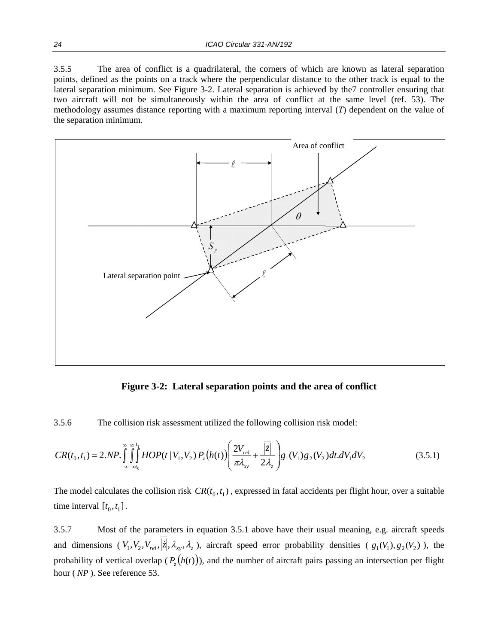3.5.5 points, defined as the points on a track where the perpendicular distance to the other track is equal to the lateral separation minimum. See Figure 3-2. Lateral separation is achieved by the7 controller ensuring that two aircraft will not be simultaneously within the area of conflict at the same level (ref. 53). The methodology assumes distance reporting with a maximum reporting interval  $(T)$  dependent on the value of the separation minimum. The area of conflict is a quadrilateral, the corners of which are known as lateral separation



**Figure 3-2: Lateral separation points and the area of conflict** 

3.5.6 The collision risk assessment utilized the following collision risk model:

$$
CR(t_0, t_1) = 2.NP. \int_{-\infty-\alpha t_0}^{\infty} \int_{0}^{t_1} HOP(t | V_1, V_2) P_z(h(t)) \left( \frac{2V_{rel}}{\pi \lambda_{xy}} + \frac{|\overline{z}|}{2 \lambda_z} \right) g_1(V_1) g_2(V_2) dt. dV_1 dV_2 \tag{3.5.1}
$$

The model calculates the collision risk  $CR(t_0, t_1)$ , expressed in fatal accidents per flight hour, over a suitable time interval  $[t_0, t_1]$ .

3.5.7 and dimensions  $(V_1, V_2, V_{rel}, |z|, \lambda_x, \lambda_z)$ , aircraft speed error probability densities  $(g_1(V_1), g_2(V_2))$ , the probability of vertical overlap  $(P_z(h(t)))$ , and the number of aircraft pairs passing an intersection per flight hour (*NP*). See reference 53. Most of the parameters in equation 3.5.1 above have their usual meaning, e.g. aircraft speeds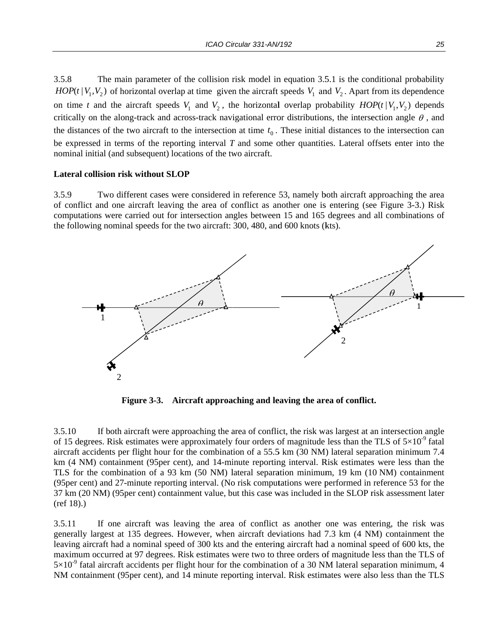3.5.8  $HOP(t | V_1, V_2)$  of horizontal overlap at time given the aircraft speeds  $V_1$  and  $V_2$ . Apart from its dependence on time *t* and the aircraft speeds  $V_1$  and  $V_2$ , the horizontal overlap probability  $HOP(t | V_1, V_2)$  depends critically on the along-track and across-track navigational error distributions, the intersection angle  $\theta$ , and the distances of the two aircraft to the intersection at time  $t_0$ . These initial distances to the intersection can be expressed in terms of the reporting interval  $T$  and some other quantities. Lateral offsets enter into the nominal initial (and subsequent) locations of the two aircraft. The main parameter of the collision risk model in equation 3.5.1 is the conditional probability

#### Lateral collision risk without SLOP

3.5.9 of conflict and one aircraft leaving the area of conflict as another one is entering (see Figure 3-3.) Risk computations were carried out for intersection angles between 15 and 165 degrees and all combinations of the following nominal speeds for the two aircraft: 300, 480, and 600 knots (kts). Two different cases were considered in reference 53, namely both aircraft approaching the area



**Figure 3-3.** Aircraft approaching and leaving the area of conflict.

3.5.10 of 15 degrees. Risk estimates were approximately four orders of magnitude less than the TLS of  $5\times10^{-9}$  fatal aircraft accidents per flight hour for the combination of a 55.5 km (30 NM) lateral separation minimum 7.4 km (4 NM) containment (95per cent), and 14-minute reporting interval. Risk estimates were less than the TLS for the combination of a 93 km (50 NM) lateral separation minimum, 19 km (10 NM) containment (95 per cent) and 27-minute reporting interval. (No risk computations were performed in reference 53 for the 37 km (20 NM) (95per cent) containment value, but this case was included in the SLOP risk assessment later (ref 18).) If both aircraft were approaching the area of conflict, the risk was largest at an intersection angle

3.5.11 generally largest at 135 degrees. However, when aircraft deviations had 7.3 km (4 NM) containment the leaving aircraft had a nominal speed of 300 kts and the entering aircraft had a nominal speed of 600 kts, the maximum occurred at 97 degrees. Risk estimates were two to three orders of magnitude less than the TLS of  $5 \times 10^{-9}$  fatal aircraft accidents per flight hour for the combination of a 30 NM lateral separation minimum, 4 NM containment (95 per cent), and 14 minute reporting interval. Risk estimates were also less than the TLS If one aircraft was leaving the area of conflict as another one was entering, the risk was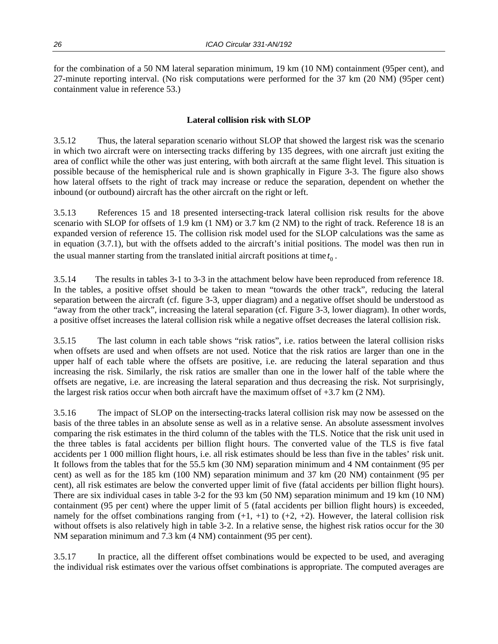for the combination of a 50 NM lateral separation minimum, 19 km (10 NM) containment (95per cent), and 27-minute reporting interval. (No risk computations were performed for the 37 km (20 NM) (95per cent) containment value in reference 53.)

#### **Lateral collision risk with SLOP**

3.5.12 Thus, the lateral separation scenario without SLOP that showed the largest risk was the scenario in which two aircraft were on intersecting tracks differing by 135 degrees, with one aircraft just exiting the area of conflict while the other was just entering, with both aircraft at the same flight level. This situation is possible because of the hemispherical rule and is shown graphically in Figure 3-3. The figure also shows how lateral offsets to the right of track may increase or reduce the separation, dependent on whether the inbound (or outbound) aircraft has the other aircraft on the right or left.

3.5.13 References 15 and 18 presented intersecting-track lateral collision risk results for the above scenario with SLOP for offsets of 1.9 km (1 NM) or 3.7 km (2 NM) to the right of track. Reference 18 is an expanded version of reference 15. The collision risk model used for the SLOP calculations was the same as in equation (3.7.1), but with the offsets added to the aircraft's initial positions. The model was then run in the usual manner starting from the translated initial aircraft positions at time  $t_0$ .

3.5.14 The results in tables 3-1 to 3-3 in the attachment below have been reproduced from reference 18. In the tables, a positive offset should be taken to mean "towards the other track", reducing the lateral separation between the aircraft (cf. figure 3-3, upper diagram) and a negative offset should be understood as "away from the other track", increasing the lateral separation (cf. Figure 3-3, lower diagram). In other words, a positive offset increases the lateral collision risk while a negative offset decreases the lateral collision risk.

3.5.15 The last column in each table shows "risk ratios", i.e. ratios between the lateral collision risks when offsets are used and when offsets are not used. Notice that the risk ratios are larger than one in the upper half of each table where the offsets are positive, i.e. are reducing the lateral separation and thus increasing the risk. Similarly, the risk ratios are smaller than one in the lower half of the table where the offsets are negative, i.e. are increasing the lateral separation and thus decreasing the risk. Not surprisingly, the largest risk ratios occur when both aircraft have the maximum offset of  $+3.7$  km (2 NM).

3.5.16 The impact of SLOP on the intersecting-tracks lateral collision risk may now be assessed on the basis of the three tables in an absolute sense as well as in a relative sense. An absolute assessment involves comparing the risk estimates in the third column of the tables with the TLS. Notice that the risk unit used in the three tables is fatal accidents per billion flight hours. The converted value of the TLS is five fatal accidents per 1 000 million flight hours, i.e. all risk estimates should be less than five in the tables' risk unit. It follows from the tables that for the 55.5 km (30 NM) separation minimum and 4 NM containment (95 per cent) as well as for the 185 km (100 NM) separation minimum and 37 km (20 NM) containment (95 per cent), all risk estimates are below the converted upper limit of five (fatal accidents per billion flight hours). There are six individual cases in table 3-2 for the 93 km (50 NM) separation minimum and 19 km (10 NM) containment (95 per cent) where the upper limit of 5 (fatal accidents per billion flight hours) is exceeded, namely for the offset combinations ranging from  $(+1, +1)$  to  $(+2, +2)$ . However, the lateral collision risk without offsets is also relatively high in table 3-2. In a relative sense, the highest risk ratios occur for the 30 NM separation minimum and 7.3 km (4 NM) containment (95 per cent).

3.5.17 In practice, all the different offset combinations would be expected to be used, and averaging the individual risk estimates over the various offset combinations is appropriate. The computed averages are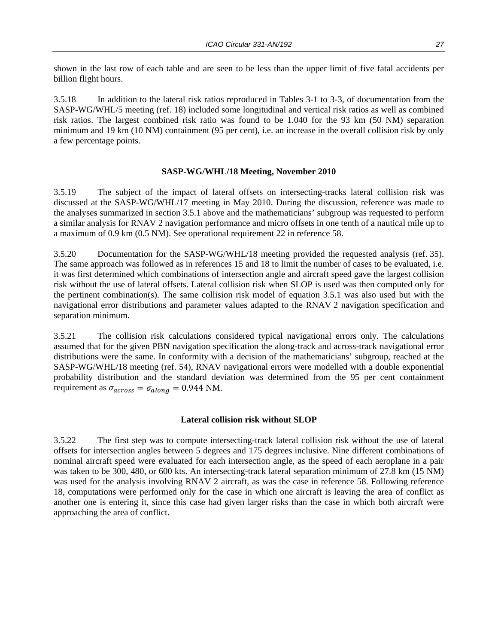shown in the last row of each table and are seen to be less than the upper limit of five fatal accidents per billion flight hours.

3.5.18 In addition to the lateral risk ratios reproduced in Tables 3-1 to 3-3, of documentation from the SASP-WG/WHL/5 meeting (ref. 18) included some longitudinal and vertical risk ratios as well as combined risk ratios. The largest combined risk ratio was found to be 1.040 for the 93 km (50 NM) separation minimum and 19 km (10 NM) containment (95 per cent), i.e. an increase in the overall collision risk by only a few percentage points.

#### **SASP-WG/WHL/18 Meeting, November 2010**

3.5.19 The subject of the impact of lateral offsets on intersecting-tracks lateral collision risk was discussed at the SASP-WG/WHL/17 meeting in May 2010. During the discussion, reference was made to the analyses summarized in section 3.5.1 above and the mathematicians' subgroup was requested to perform a similar analysis for RNAV 2 navigation performance and micro offsets in one tenth of a nautical mile up to a maximum of 0.9 km (0.5 NM). See operational requirement 22 in reference 58.

3.5.20 Documentation for the SASP-WG/WHL/18 meeting provided the requested analysis (ref. 35). The same approach was followed as in references 15 and 18 to limit the number of cases to be evaluated, i.e. it was first determined which combinations of intersection angle and aircraft speed gave the largest collision risk without the use of lateral offsets. Lateral collision risk when SLOP is used was then computed only for the pertinent combination(s). The same collision risk model of equation 3.5.1 was also used but with the navigational error distributions and parameter values adapted to the RNAV 2 navigation specification and separation minimum.

3.5.21 The collision risk calculations considered typical navigational errors only. The calculations assumed that for the given PBN navigation specification the along-track and across-track navigational error distributions were the same. In conformity with a decision of the mathematicians' subgroup, reached at the SASP-WG/WHL/18 meeting (ref. 54), RNAV navigational errors were modelled with a double exponential probability distribution and the standard deviation was determined from the 95 per cent containment requirement as  $\sigma_{across} = \sigma_{along} = 0.944$  NM.

#### **Lateral collision risk without SLOP**

3.5.22 The first step was to compute intersecting-track lateral collision risk without the use of lateral offsets for intersection angles between 5 degrees and 175 degrees inclusive. Nine different combinations of nominal aircraft speed were evaluated for each intersection angle, as the speed of each aeroplane in a pair was taken to be 300, 480, or 600 kts. An intersecting-track lateral separation minimum of 27.8 km (15 NM) was used for the analysis involving RNAV 2 aircraft, as was the case in reference 58. Following reference 18, computations were performed only for the case in which one aircraft is leaving the area of conflict as another one is entering it, since this case had given larger risks than the case in which both aircraft were approaching the area of conflict.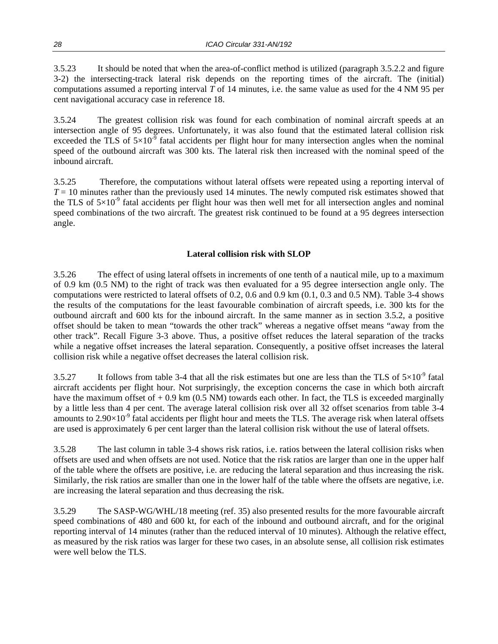3.5.23 It should be noted that when the area-of-conflict method is utilized (paragraph 3.5.2.2 and figure 3-2) the intersecting-track lateral risk depends on the reporting times of the aircraft. The (initial) computations assumed a reporting interval *T* of 14 minutes, i.e. the same value as used for the 4 NM 95 per cent navigational accuracy case in reference 18.

3.5.24 The greatest collision risk was found for each combination of nominal aircraft speeds at an intersection angle of 95 degrees. Unfortunately, it was also found that the estimated lateral collision risk exceeded the TLS of  $5\times10^{-9}$  fatal accidents per flight hour for many intersection angles when the nominal speed of the outbound aircraft was 300 kts. The lateral risk then increased with the nominal speed of the inbound aircraft.

3.5.25 Therefore, the computations without lateral offsets were repeated using a reporting interval of  $T = 10$  minutes rather than the previously used 14 minutes. The newly computed risk estimates showed that the TLS of  $5\times10^{-9}$  fatal accidents per flight hour was then well met for all intersection angles and nominal speed combinations of the two aircraft. The greatest risk continued to be found at a 95 degrees intersection angle.

#### **Lateral collision risk with SLOP**

3.5.26 The effect of using lateral offsets in increments of one tenth of a nautical mile, up to a maximum of 0.9 km (0.5 NM) to the right of track was then evaluated for a 95 degree intersection angle only. The computations were restricted to lateral offsets of 0.2, 0.6 and 0.9 km (0.1, 0.3 and 0.5 NM). Table 3-4 shows the results of the computations for the least favourable combination of aircraft speeds, i.e. 300 kts for the outbound aircraft and 600 kts for the inbound aircraft. In the same manner as in section 3.5.2, a positive offset should be taken to mean "towards the other track" whereas a negative offset means "away from the other track". Recall Figure 3-3 above. Thus, a positive offset reduces the lateral separation of the tracks while a negative offset increases the lateral separation. Consequently, a positive offset increases the lateral collision risk while a negative offset decreases the lateral collision risk.

3.5.27 It follows from table 3-4 that all the risk estimates but one are less than the TLS of  $5\times10^{-9}$  fatal aircraft accidents per flight hour. Not surprisingly, the exception concerns the case in which both aircraft have the maximum offset of  $+ 0.9$  km (0.5 NM) towards each other. In fact, the TLS is exceeded marginally by a little less than 4 per cent. The average lateral collision risk over all 32 offset scenarios from table 3-4 amounts to  $2.90\times10^{-9}$  fatal accidents per flight hour and meets the TLS. The average risk when lateral offsets are used is approximately 6 per cent larger than the lateral collision risk without the use of lateral offsets.

3.5.28 The last column in table 3-4 shows risk ratios, i.e. ratios between the lateral collision risks when offsets are used and when offsets are not used. Notice that the risk ratios are larger than one in the upper half of the table where the offsets are positive, i.e. are reducing the lateral separation and thus increasing the risk. Similarly, the risk ratios are smaller than one in the lower half of the table where the offsets are negative, i.e. are increasing the lateral separation and thus decreasing the risk.

3.5.29 The SASP-WG/WHL/18 meeting (ref. 35) also presented results for the more favourable aircraft speed combinations of 480 and 600 kt, for each of the inbound and outbound aircraft, and for the original reporting interval of 14 minutes (rather than the reduced interval of 10 minutes). Although the relative effect, as measured by the risk ratios was larger for these two cases, in an absolute sense, all collision risk estimates were well below the TLS.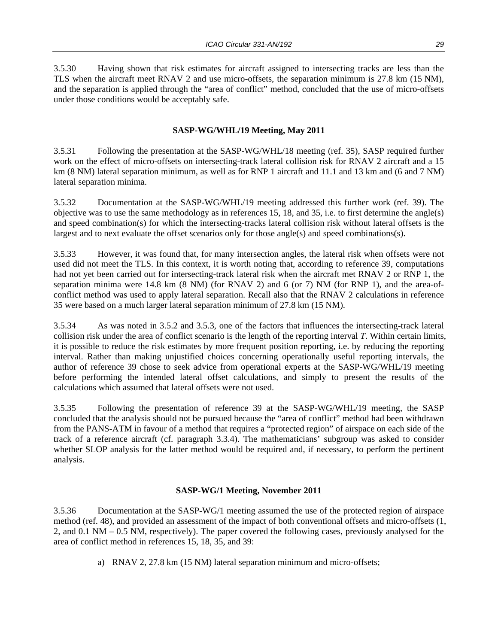3.5.30 Having shown that risk estimates for aircraft assigned to intersecting tracks are less than the TLS when the aircraft meet RNAV 2 and use micro-offsets, the separation minimum is 27.8 km (15 NM), and the separation is applied through the "area of conflict" method, concluded that the use of micro-offsets under those conditions would be acceptably safe.

#### **SASP-WG/WHL/19 Meeting, May 2011**

3.5.31 Following the presentation at the SASP-WG/WHL/18 meeting (ref. 35), SASP required further work on the effect of micro-offsets on intersecting-track lateral collision risk for RNAV 2 aircraft and a 15 km (8 NM) lateral separation minimum, as well as for RNP 1 aircraft and 11.1 and 13 km and (6 and 7 NM) lateral separation minima.

3.5.32 Documentation at the SASP-WG/WHL/19 meeting addressed this further work (ref. 39). The objective was to use the same methodology as in references 15, 18, and 35, i.e. to first determine the angle(s) and speed combination(s) for which the intersecting-tracks lateral collision risk without lateral offsets is the largest and to next evaluate the offset scenarios only for those angle(s) and speed combinations(s).

3.5.33 However, it was found that, for many intersection angles, the lateral risk when offsets were not used did not meet the TLS. In this context, it is worth noting that, according to reference 39, computations had not yet been carried out for intersecting-track lateral risk when the aircraft met RNAV 2 or RNP 1, the separation minima were 14.8 km (8 NM) (for RNAV 2) and 6 (or 7) NM (for RNP 1), and the area-ofconflict method was used to apply lateral separation. Recall also that the RNAV 2 calculations in reference 35 were based on a much larger lateral separation minimum of 27.8 km (15 NM).

3.5.34 As was noted in 3.5.2 and 3.5.3, one of the factors that influences the intersecting-track lateral collision risk under the area of conflict scenario is the length of the reporting interval *T*. Within certain limits, it is possible to reduce the risk estimates by more frequent position reporting, i.e. by reducing the reporting interval. Rather than making unjustified choices concerning operationally useful reporting intervals, the author of reference 39 chose to seek advice from operational experts at the SASP-WG/WHL/19 meeting before performing the intended lateral offset calculations, and simply to present the results of the calculations which assumed that lateral offsets were not used.

3.5.35 Following the presentation of reference 39 at the SASP-WG/WHL/19 meeting, the SASP concluded that the analysis should not be pursued because the "area of conflict" method had been withdrawn from the PANS-ATM in favour of a method that requires a "protected region" of airspace on each side of the track of a reference aircraft (cf. paragraph 3.3.4). The mathematicians' subgroup was asked to consider whether SLOP analysis for the latter method would be required and, if necessary, to perform the pertinent analysis.

#### **SASP-WG/1 Meeting, November 2011**

3.5.36 Documentation at the SASP-WG/1 meeting assumed the use of the protected region of airspace method (ref. 48), and provided an assessment of the impact of both conventional offsets and micro-offsets (1, 2, and 0.1 NM – 0.5 NM, respectively). The paper covered the following cases, previously analysed for the area of conflict method in references 15, 18, 35, and 39:

a) RNAV 2, 27.8 km (15 NM) lateral separation minimum and micro-offsets;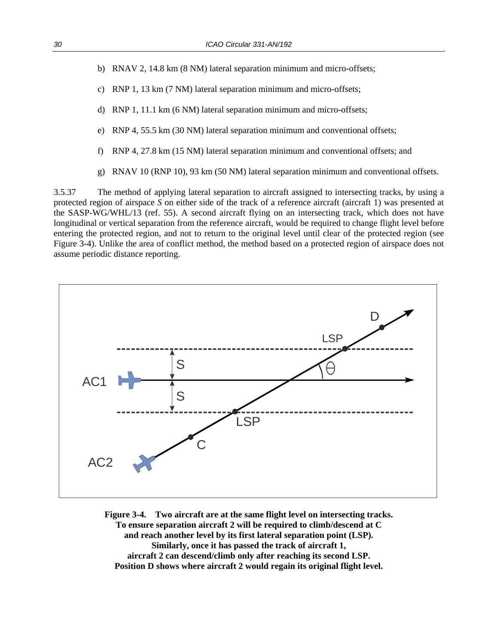- b) RNAV 2, 14.8 km (8 NM) lateral separation minimum and micro-offsets;
- c) RNP 1, 13 km (7 NM) lateral separation minimum and micro-offsets;
- d) RNP 1, 11.1 km (6 NM) lateral separation minimum and micro-offsets;
- e) RNP 4, 55.5 km (30 NM) lateral separation minimum and conventional offsets;
- f) RNP 4, 27.8 km (15 NM) lateral separation minimum and conventional offsets; and
- g) RNAV 10 (RNP 10), 93 km (50 NM) lateral separation minimum and conventional offsets.

3.5.37 The method of applying lateral separation to aircraft assigned to intersecting tracks, by using a protected region of airspace *S* on either side of the track of a reference aircraft (aircraft 1) was presented at the SASP-WG/WHL/13 (ref. 55). A second aircraft flying on an intersecting track, which does not have longitudinal or vertical separation from the reference aircraft, would be required to change flight level before entering the protected region, and not to return to the original level until clear of the protected region (see Figure 3-4). Unlike the area of conflict method, the method based on a protected region of airspace does not assume periodic distance reporting.



**Figure 3-4. Two aircraft are at the same flight level on intersecting tracks. To ensure separation aircraft 2 will be required to climb/descend at C and reach another level by its first lateral separation point (LSP). Similarly, once it has passed the track of aircraft 1, aircraft 2 can descend/climb only after reaching its second LSP. Position D shows where aircraft 2 would regain its original flight level.**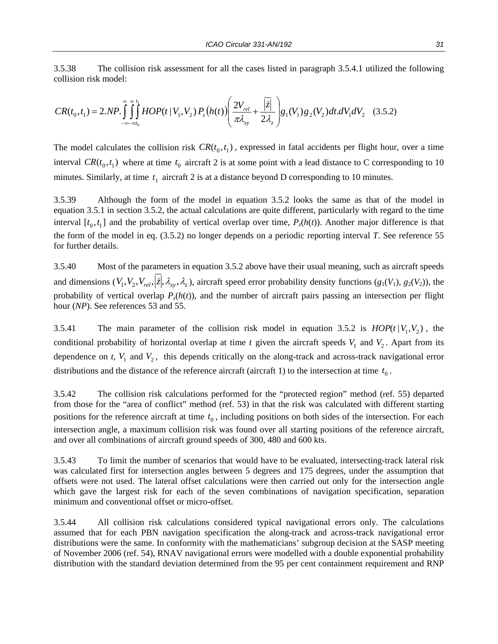3.5.38 The collision risk assessment for all the cases listed in paragraph 3.5.4.1 utilized the following collision risk model:

$$
CR(t_0, t_1) = 2.NP.\iint_{-\infty - \infty t_0}^{\infty t_1} HOP(t | V_1, V_2) P_z(h(t)) \left( \frac{2V_{rel}}{\pi \lambda_{xy}} + \frac{|\overline{z}|}{2\lambda_z} \right) g_1(V_1) g_2(V_2) dt. dV_1 dV_2 \quad (3.5.2)
$$

The model calculates the collision risk  $CR(t_0, t_1)$ , expressed in fatal accidents per flight hour, over a time interval  $CR(t_0, t_1)$  where at time  $t_0$  aircraft 2 is at some point with a lead distance to C corresponding to 10 minutes. Similarly, at time  $t_1$  aircraft 2 is at a distance beyond D corresponding to 10 minutes.

3.5.39 Although the form of the model in equation 3.5.2 looks the same as that of the model in equation 3.5.1 in section 3.5.2, the actual calculations are quite different, particularly with regard to the time interval  $[t_0, t_1]$  and the probability of vertical overlap over time,  $P_z(h(t))$ . Another major difference is that the form of the model in eq. (3.5.2) no longer depends on a periodic reporting interval *T*. See reference 55 for further details.

3.5.40 Most of the parameters in equation 3.5.2 above have their usual meaning, such as aircraft speeds and dimensions  $(V_1, V_2, V_{rel}, \vec{z} |, \lambda_x, \lambda_z)$ , aircraft speed error probability density functions  $(g_1(V_1), g_2(V_2))$ , the probability of vertical overlap  $P_z(h(t))$ , and the number of aircraft pairs passing an intersection per flight hour (*NP*). See references 53 and 55.

3.5.41 The main parameter of the collision risk model in equation 3.5.2 is  $HOP(t|V_1, V_2)$ , the conditional probability of horizontal overlap at time *t* given the aircraft speeds  $V_1$  and  $V_2$ . Apart from its dependence on  $t$ ,  $V_1$  and  $V_2$ , this depends critically on the along-track and across-track navigational error distributions and the distance of the reference aircraft (aircraft 1) to the intersection at time  $t_0$ .

3.5.42 The collision risk calculations performed for the "protected region" method (ref. 55) departed from those for the "area of conflict" method (ref. 53) in that the risk was calculated with different starting positions for the reference aircraft at time  $t_0$ , including positions on both sides of the intersection. For each intersection angle, a maximum collision risk was found over all starting positions of the reference aircraft, and over all combinations of aircraft ground speeds of 300, 480 and 600 kts.

3.5.43 To limit the number of scenarios that would have to be evaluated, intersecting-track lateral risk was calculated first for intersection angles between 5 degrees and 175 degrees, under the assumption that offsets were not used. The lateral offset calculations were then carried out only for the intersection angle which gave the largest risk for each of the seven combinations of navigation specification, separation minimum and conventional offset or micro-offset.

3.5.44 All collision risk calculations considered typical navigational errors only. The calculations assumed that for each PBN navigation specification the along-track and across-track navigational error distributions were the same. In conformity with the mathematicians' subgroup decision at the SASP meeting of November 2006 (ref. 54), RNAV navigational errors were modelled with a double exponential probability distribution with the standard deviation determined from the 95 per cent containment requirement and RNP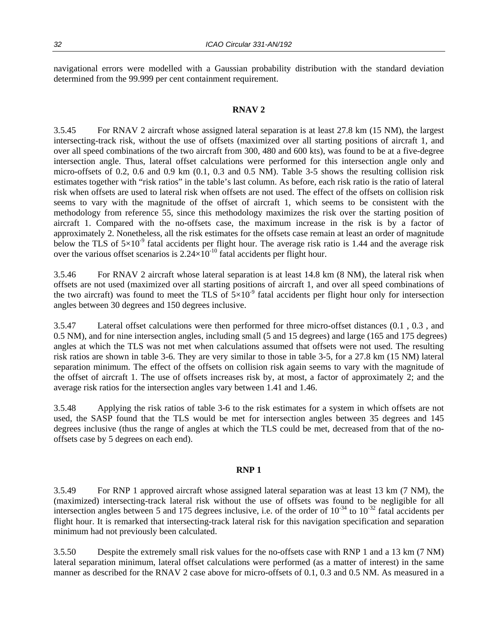navigational errors were modelled with a Gaussian probability distribution with the standard deviation determined from the 99.999 per cent containment requirement.

#### **RNAV 2**

3.5.45 For RNAV 2 aircraft whose assigned lateral separation is at least 27.8 km (15 NM), the largest intersecting-track risk, without the use of offsets (maximized over all starting positions of aircraft 1, and over all speed combinations of the two aircraft from 300, 480 and 600 kts), was found to be at a five-degree intersection angle. Thus, lateral offset calculations were performed for this intersection angle only and micro-offsets of 0.2, 0.6 and 0.9 km (0.1, 0.3 and 0.5 NM). Table 3-5 shows the resulting collision risk estimates together with "risk ratios" in the table's last column. As before, each risk ratio is the ratio of lateral risk when offsets are used to lateral risk when offsets are not used. The effect of the offsets on collision risk seems to vary with the magnitude of the offset of aircraft 1, which seems to be consistent with the methodology from reference 55, since this methodology maximizes the risk over the starting position of aircraft 1. Compared with the no-offsets case, the maximum increase in the risk is by a factor of approximately 2. Nonetheless, all the risk estimates for the offsets case remain at least an order of magnitude below the TLS of  $5\times10^{-9}$  fatal accidents per flight hour. The average risk ratio is 1.44 and the average risk over the various offset scenarios is  $2.24 \times 10^{-10}$  fatal accidents per flight hour.

3.5.46 For RNAV 2 aircraft whose lateral separation is at least 14.8 km (8 NM), the lateral risk when offsets are not used (maximized over all starting positions of aircraft 1, and over all speed combinations of the two aircraft) was found to meet the TLS of  $5\times10^{-9}$  fatal accidents per flight hour only for intersection angles between 30 degrees and 150 degrees inclusive.

3.5.47 Lateral offset calculations were then performed for three micro-offset distances (0.1 , 0.3 , and 0.5 NM), and for nine intersection angles, including small (5 and 15 degrees) and large (165 and 175 degrees) angles at which the TLS was not met when calculations assumed that offsets were not used. The resulting risk ratios are shown in table 3-6. They are very similar to those in table 3-5, for a 27.8 km (15 NM) lateral separation minimum. The effect of the offsets on collision risk again seems to vary with the magnitude of the offset of aircraft 1. The use of offsets increases risk by, at most, a factor of approximately 2; and the average risk ratios for the intersection angles vary between 1.41 and 1.46.

3.5.48 Applying the risk ratios of table 3-6 to the risk estimates for a system in which offsets are not used, the SASP found that the TLS would be met for intersection angles between 35 degrees and 145 degrees inclusive (thus the range of angles at which the TLS could be met, decreased from that of the nooffsets case by 5 degrees on each end).

#### **RNP 1**

3.5.49 For RNP 1 approved aircraft whose assigned lateral separation was at least 13 km (7 NM), the (maximized) intersecting-track lateral risk without the use of offsets was found to be negligible for all intersection angles between 5 and 175 degrees inclusive, i.e. of the order of  $10^{-34}$  to  $10^{-32}$  fatal accidents per flight hour. It is remarked that intersecting-track lateral risk for this navigation specification and separation minimum had not previously been calculated.

3.5.50 Despite the extremely small risk values for the no-offsets case with RNP 1 and a 13 km (7 NM) lateral separation minimum, lateral offset calculations were performed (as a matter of interest) in the same manner as described for the RNAV 2 case above for micro-offsets of 0.1, 0.3 and 0.5 NM. As measured in a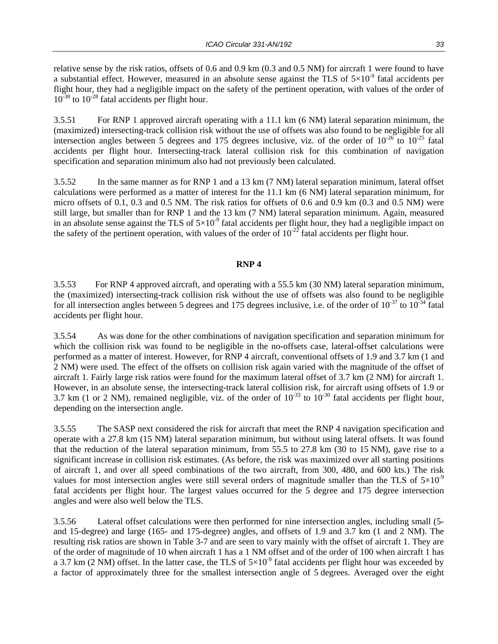relative sense by the risk ratios, offsets of 0.6 and 0.9 km (0.3 and 0.5 NM) for aircraft 1 were found to have a substantial effect. However, measured in an absolute sense against the TLS of  $5\times10^{-9}$  fatal accidents per flight hour, they had a negligible impact on the safety of the pertinent operation, with values of the order of  $10^{-30}$  to  $10^{-28}$  fatal accidents per flight hour.

3.5.51 For RNP 1 approved aircraft operating with a 11.1 km (6 NM) lateral separation minimum, the (maximized) intersecting-track collision risk without the use of offsets was also found to be negligible for all intersection angles between 5 degrees and 175 degrees inclusive, viz. of the order of  $10^{-26}$  to  $10^{-25}$  fatal accidents per flight hour. Intersecting-track lateral collision risk for this combination of navigation specification and separation minimum also had not previously been calculated.

3.5.52 In the same manner as for RNP 1 and a 13 km (7 NM) lateral separation minimum, lateral offset calculations were performed as a matter of interest for the 11.1 km (6 NM) lateral separation minimum, for micro offsets of 0.1, 0.3 and 0.5 NM. The risk ratios for offsets of 0.6 and 0.9 km (0.3 and 0.5 NM) were still large, but smaller than for RNP 1 and the 13 km (7 NM) lateral separation minimum. Again, measured in an absolute sense against the TLS of  $5\times10^{-9}$  fatal accidents per flight hour, they had a negligible impact on the safety of the pertinent operation, with values of the order of  $10^{-22}$  fatal accidents per flight hour.

#### **RNP 4**

3.5.53 For RNP 4 approved aircraft, and operating with a 55.5 km (30 NM) lateral separation minimum, the (maximized) intersecting-track collision risk without the use of offsets was also found to be negligible for all intersection angles between 5 degrees and 175 degrees inclusive, i.e. of the order of  $10^{-37}$  to  $10^{-34}$  fatal accidents per flight hour.

3.5.54 As was done for the other combinations of navigation specification and separation minimum for which the collision risk was found to be negligible in the no-offsets case, lateral-offset calculations were performed as a matter of interest. However, for RNP 4 aircraft, conventional offsets of 1.9 and 3.7 km (1 and 2 NM) were used. The effect of the offsets on collision risk again varied with the magnitude of the offset of aircraft 1. Fairly large risk ratios were found for the maximum lateral offset of 3.7 km (2 NM) for aircraft 1. However, in an absolute sense, the intersecting-track lateral collision risk, for aircraft using offsets of 1.9 or 3.7 km (1 or 2 NM), remained negligible, viz. of the order of  $10^{-33}$  to  $10^{-30}$  fatal accidents per flight hour, depending on the intersection angle.

3.5.55 The SASP next considered the risk for aircraft that meet the RNP 4 navigation specification and operate with a 27.8 km (15 NM) lateral separation minimum, but without using lateral offsets. It was found that the reduction of the lateral separation minimum, from 55.5 to 27.8 km (30 to 15 NM), gave rise to a significant increase in collision risk estimates. (As before, the risk was maximized over all starting positions of aircraft 1, and over all speed combinations of the two aircraft, from 300, 480, and 600 kts.) The risk values for most intersection angles were still several orders of magnitude smaller than the TLS of  $5\times10^{-9}$ fatal accidents per flight hour. The largest values occurred for the 5 degree and 175 degree intersection angles and were also well below the TLS.

3.5.56 Lateral offset calculations were then performed for nine intersection angles, including small (5 and 15-degree) and large (165- and 175-degree) angles, and offsets of 1.9 and 3.7 km (1 and 2 NM). The resulting risk ratios are shown in Table 3-7 and are seen to vary mainly with the offset of aircraft 1. They are of the order of magnitude of 10 when aircraft 1 has a 1 NM offset and of the order of 100 when aircraft 1 has a 3.7 km (2 NM) offset. In the latter case, the TLS of  $5\times10^{-9}$  fatal accidents per flight hour was exceeded by a factor of approximately three for the smallest intersection angle of 5 degrees. Averaged over the eight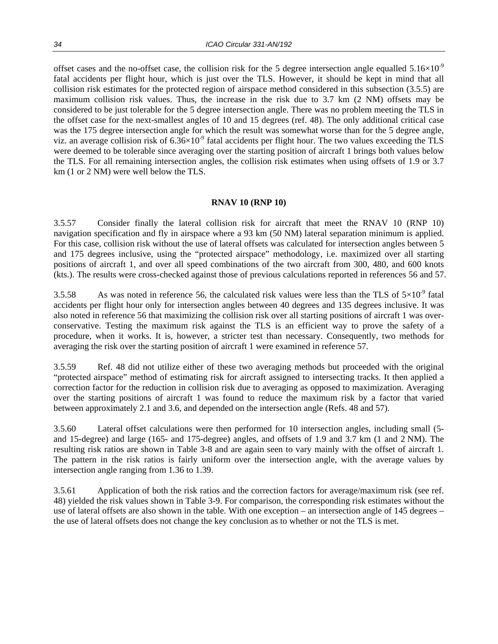offset cases and the no-offset case, the collision risk for the 5 degree intersection angle equalled  $5.16\times10^{-9}$ fatal accidents per flight hour, which is just over the TLS. However, it should be kept in mind that all collision risk estimates for the protected region of airspace method considered in this subsection (3.5.5) are maximum collision risk values. Thus, the increase in the risk due to 3.7 km (2 NM) offsets may be considered to be just tolerable for the 5 degree intersection angle. There was no problem meeting the TLS in the offset case for the next-smallest angles of 10 and 15 degrees (ref. 48). The only additional critical case was the 175 degree intersection angle for which the result was somewhat worse than for the 5 degree angle, viz. an average collision risk of  $6.36\times10^{-9}$  fatal accidents per flight hour. The two values exceeding the TLS were deemed to be tolerable since averaging over the starting position of aircraft 1 brings both values below the TLS. For all remaining intersection angles, the collision risk estimates when using offsets of 1.9 or 3.7 km (1 or 2 NM) were well below the TLS.

#### **RNAV 10 (RNP 10)**

3.5.57 Consider finally the lateral collision risk for aircraft that meet the RNAV 10 (RNP 10) navigation specification and fly in airspace where a 93 km (50 NM) lateral separation minimum is applied. For this case, collision risk without the use of lateral offsets was calculated for intersection angles between 5 and 175 degrees inclusive, using the "protected airspace" methodology, i.e. maximized over all starting positions of aircraft 1, and over all speed combinations of the two aircraft from 300, 480, and 600 knots (kts.). The results were cross-checked against those of previous calculations reported in references 56 and 57.

3.5.58 As was noted in reference 56, the calculated risk values were less than the TLS of  $5\times10^{-9}$  fatal accidents per flight hour only for intersection angles between 40 degrees and 135 degrees inclusive. It was also noted in reference 56 that maximizing the collision risk over all starting positions of aircraft 1 was overconservative. Testing the maximum risk against the TLS is an efficient way to prove the safety of a procedure, when it works. It is, however, a stricter test than necessary. Consequently, two methods for averaging the risk over the starting position of aircraft 1 were examined in reference 57.

3.5.59 Ref. 48 did not utilize either of these two averaging methods but proceeded with the original "protected airspace" method of estimating risk for aircraft assigned to intersecting tracks. It then applied a correction factor for the reduction in collision risk due to averaging as opposed to maximization. Averaging over the starting positions of aircraft 1 was found to reduce the maximum risk by a factor that varied between approximately 2.1 and 3.6, and depended on the intersection angle (Refs. 48 and 57).

3.5.60 Lateral offset calculations were then performed for 10 intersection angles, including small (5 and 15-degree) and large (165- and 175-degree) angles, and offsets of 1.9 and 3.7 km (1 and 2 NM). The resulting risk ratios are shown in Table 3-8 and are again seen to vary mainly with the offset of aircraft 1. The pattern in the risk ratios is fairly uniform over the intersection angle, with the average values by intersection angle ranging from 1.36 to 1.39.

3.5.61 Application of both the risk ratios and the correction factors for average/maximum risk (see ref. 48) yielded the risk values shown in Table 3-9. For comparison, the corresponding risk estimates without the use of lateral offsets are also shown in the table. With one exception – an intersection angle of 145 degrees – the use of lateral offsets does not change the key conclusion as to whether or not the TLS is met.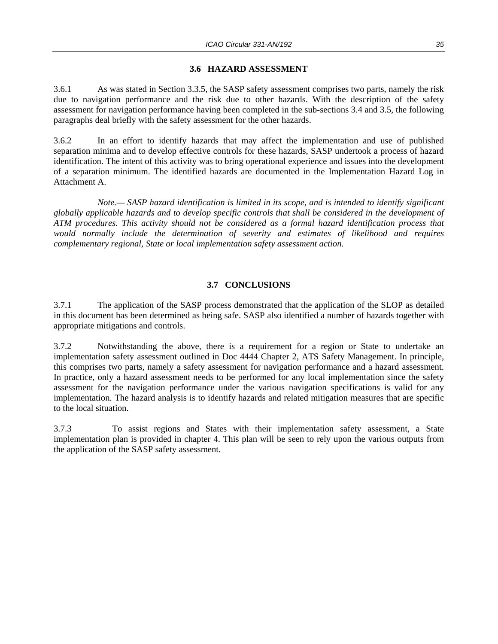#### **3.6 HAZARD ASSESSMENT**

3.6.1 As was stated in Section 3.3.5, the SASP safety assessment comprises two parts, namely the risk due to navigation performance and the risk due to other hazards. With the description of the safety assessment for navigation performance having been completed in the sub-sections 3.4 and 3.5, the following paragraphs deal briefly with the safety assessment for the other hazards.

3.6.2 In an effort to identify hazards that may affect the implementation and use of published separation minima and to develop effective controls for these hazards, SASP undertook a process of hazard identification. The intent of this activity was to bring operational experience and issues into the development of a separation minimum. The identified hazards are documented in the Implementation Hazard Log in Attachment A.

 *Note.— SASP hazard identification is limited in its scope, and is intended to identify significant globally applicable hazards and to develop specific controls that shall be considered in the development of ATM procedures. This activity should not be considered as a formal hazard identification process that would normally include the determination of severity and estimates of likelihood and requires complementary regional, State or local implementation safety assessment action.*

#### **3.7 CONCLUSIONS**

3.7.1 The application of the SASP process demonstrated that the application of the SLOP as detailed in this document has been determined as being safe. SASP also identified a number of hazards together with appropriate mitigations and controls.

3.7.2 Notwithstanding the above, there is a requirement for a region or State to undertake an implementation safety assessment outlined in Doc 4444 Chapter 2, ATS Safety Management. In principle, this comprises two parts, namely a safety assessment for navigation performance and a hazard assessment. In practice, only a hazard assessment needs to be performed for any local implementation since the safety assessment for the navigation performance under the various navigation specifications is valid for any implementation. The hazard analysis is to identify hazards and related mitigation measures that are specific to the local situation.

3.7.3 To assist regions and States with their implementation safety assessment, a State implementation plan is provided in chapter 4. This plan will be seen to rely upon the various outputs from the application of the SASP safety assessment.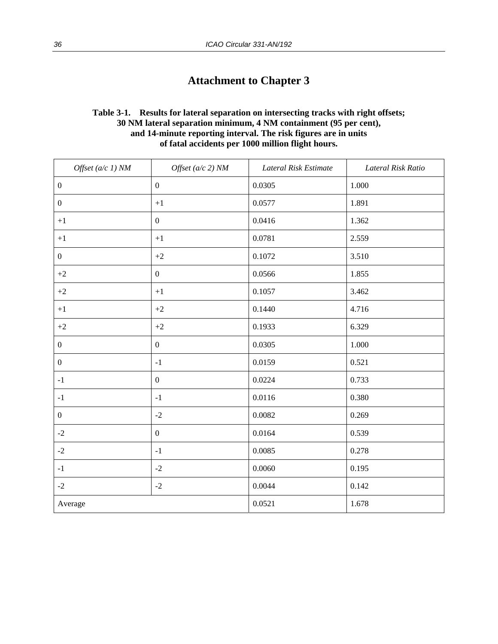### **Attachment to Chapter 3**

#### **Table 3-1. Results for lateral separation on intersecting tracks with right offsets; 30 NM lateral separation minimum, 4 NM containment (95 per cent), and 14-minute reporting interval. The risk figures are in units of fatal accidents per 1000 million flight hours.**

| Offset $(a/c 1) NM$ | Offset $(a/c 2)$ NM | Lateral Risk Estimate | Lateral Risk Ratio |
|---------------------|---------------------|-----------------------|--------------------|
| $\boldsymbol{0}$    | $\boldsymbol{0}$    | 0.0305                | $1.000\,$          |
| $\boldsymbol{0}$    | $+1$                | 0.0577                | 1.891              |
| $+1$                | $\boldsymbol{0}$    | 0.0416                | 1.362              |
| $+1$                | $+1$                | 0.0781                | 2.559              |
| $\boldsymbol{0}$    | $+2$                | 0.1072                | 3.510              |
| $+2$                | $\boldsymbol{0}$    | 0.0566                | 1.855              |
| $+2$                | $+1$                | 0.1057                | 3.462              |
| $+1$                | $+2$                | 0.1440                | 4.716              |
| $+2$                | $+2$                | 0.1933                | 6.329              |
| $\boldsymbol{0}$    | $\boldsymbol{0}$    | 0.0305                | 1.000              |
| $\boldsymbol{0}$    | $-1$                | 0.0159                | 0.521              |
| $-1$                | $\boldsymbol{0}$    | 0.0224                | 0.733              |
| $^{\rm -1}$         | $^{\rm -1}$         | 0.0116                | 0.380              |
| $\boldsymbol{0}$    | $-2$                | 0.0082                | 0.269              |
| $\mbox{-}2$         | $\boldsymbol{0}$    | 0.0164                | 0.539              |
| $-2$                | $-1$                | 0.0085                | 0.278              |
| $-1$                | $-2$                | 0.0060                | 0.195              |
| $-2$                | $-2$                | 0.0044                | 0.142              |
| Average             |                     | 0.0521                | 1.678              |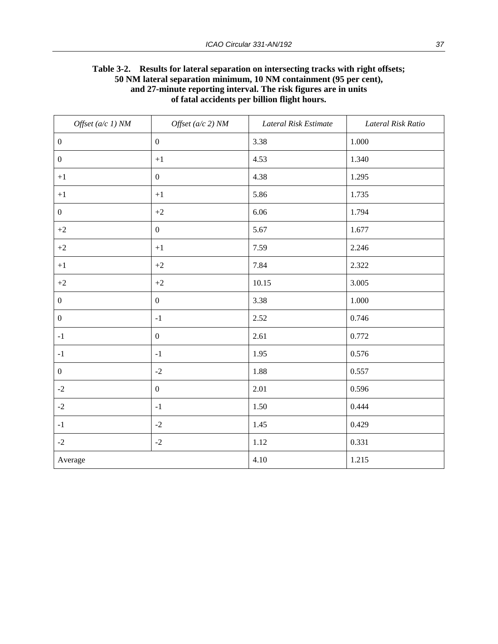| Table 3-2. Results for lateral separation on intersecting tracks with right offsets; |  |  |  |  |
|--------------------------------------------------------------------------------------|--|--|--|--|
| 50 NM lateral separation minimum, 10 NM containment (95 per cent),                   |  |  |  |  |
| and 27-minute reporting interval. The risk figures are in units                      |  |  |  |  |
| of fatal accidents per billion flight hours.                                         |  |  |  |  |

| Offset $(a/c 1) NM$ | Offset $(a/c 2) NM$ | Lateral Risk Estimate | Lateral Risk Ratio |
|---------------------|---------------------|-----------------------|--------------------|
| $\boldsymbol{0}$    | $\boldsymbol{0}$    | 3.38                  | 1.000              |
| $\boldsymbol{0}$    | $\bf +1$            | 4.53                  | 1.340              |
| $+1$                | $\boldsymbol{0}$    | 4.38                  | 1.295              |
| $+1$                | $+1$                | 5.86                  | 1.735              |
| $\boldsymbol{0}$    | $+2$                | 6.06                  | 1.794              |
| $+2$                | $\boldsymbol{0}$    | 5.67                  | 1.677              |
| $+2$                | $+1$                | 7.59                  | 2.246              |
| $+1$                | $+2$                | 7.84                  | 2.322              |
| $\rm{+2}$           | $+2$                | 10.15                 | 3.005              |
| $\boldsymbol{0}$    | $\boldsymbol{0}$    | 3.38                  | 1.000              |
| $\boldsymbol{0}$    | $^{\rm -1}$         | 2.52                  | 0.746              |
| $-1$                | $\boldsymbol{0}$    | 2.61                  | 0.772              |
| $-1$                | $^{\rm -1}$         | 1.95                  | 0.576              |
| $\boldsymbol{0}$    | $-2$                | 1.88                  | 0.557              |
| $-2$                | $\boldsymbol{0}$    | 2.01                  | 0.596              |
| $-2$                | $-1$                | 1.50                  | 0.444              |
| $-1$                | $-2$                | 1.45                  | 0.429              |
| $-2$                | $-2$                | 1.12                  | 0.331              |
| Average             |                     | 4.10                  | 1.215              |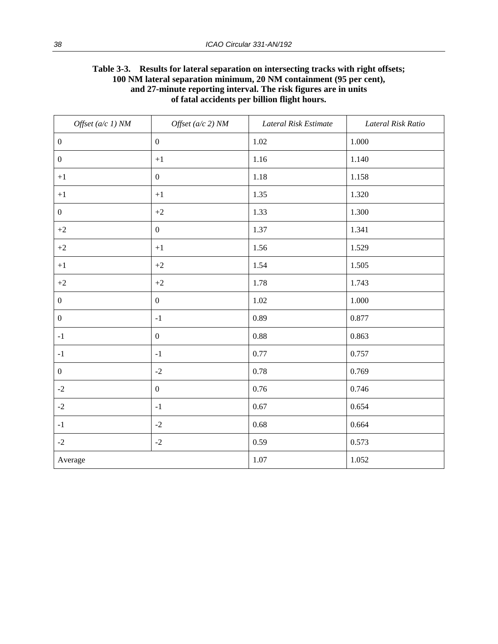| <b>Table 3-3.</b>                                               | Results for lateral separation on intersecting tracks with right offsets; |  |  |  |
|-----------------------------------------------------------------|---------------------------------------------------------------------------|--|--|--|
|                                                                 | 100 NM lateral separation minimum, 20 NM containment (95 per cent),       |  |  |  |
| and 27-minute reporting interval. The risk figures are in units |                                                                           |  |  |  |
|                                                                 | of fatal accidents per billion flight hours.                              |  |  |  |

| Offset $(a/c 1)$ NM | Offset $(a/c 2)$ NM | Lateral Risk Estimate | Lateral Risk Ratio |
|---------------------|---------------------|-----------------------|--------------------|
| $\boldsymbol{0}$    | $\boldsymbol{0}$    | 1.02                  | 1.000              |
| $\boldsymbol{0}$    | $+1$                | 1.16                  | 1.140              |
| $+1$                | $\boldsymbol{0}$    | 1.18                  | 1.158              |
| $+1$                | $\bf +1$            | 1.35                  | 1.320              |
| $\boldsymbol{0}$    | $+2$                | 1.33                  | 1.300              |
| $+2$                | $\mathbf{0}$        | 1.37                  | 1.341              |
| $+2$                | $+1$                | 1.56                  | 1.529              |
| $+1$                | $+2$                | 1.54                  | 1.505              |
| $+2$                | $+2$                | 1.78                  | 1.743              |
| $\boldsymbol{0}$    | $\overline{0}$      | 1.02                  | 1.000              |
| $\boldsymbol{0}$    | $-1$                | 0.89                  | 0.877              |
| $^{\rm -1}$         | $\overline{0}$      | 0.88                  | 0.863              |
| $^{\rm -1}$         | $^{\rm -1}$         | $0.77\,$              | 0.757              |
| $\boldsymbol{0}$    | $-2$                | 0.78                  | 0.769              |
| $-2$                | $\boldsymbol{0}$    | 0.76                  | 0.746              |
| $-2$                | $^{\rm -1}$         | 0.67                  | 0.654              |
| $-1$                | $-2$                | 0.68                  | 0.664              |
| $-2$                | $-2$                | 0.59                  | 0.573              |
| Average             |                     | 1.07                  | 1.052              |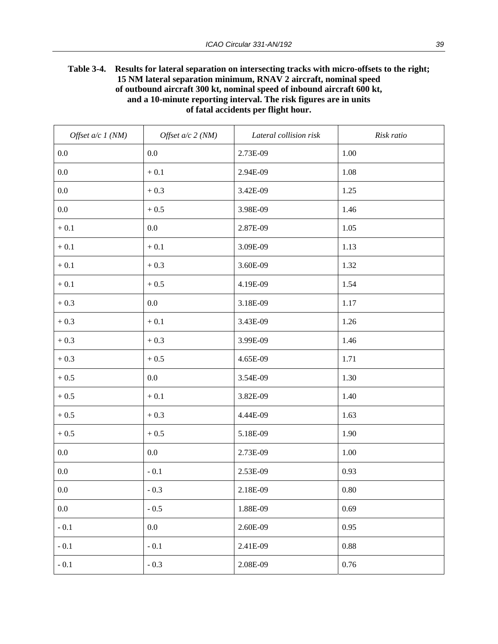#### **Table 3-4. Results for lateral separation on intersecting tracks with micro-offsets to the right; 15 NM lateral separation minimum, RNAV 2 aircraft, nominal speed of outbound aircraft 300 kt, nominal speed of inbound aircraft 600 kt, and a 10-minute reporting interval. The risk figures are in units of fatal accidents per flight hour.**

| Offset $a/c$ 1 (NM) | Offset $a/c$ 2 (NM) | Lateral collision risk | Risk ratio |
|---------------------|---------------------|------------------------|------------|
| 0.0                 | 0.0                 | 2.73E-09               | 1.00       |
| $0.0\,$             | $+\,0.1$            | 2.94E-09               | 1.08       |
| $0.0\,$             | $+0.3$              | 3.42E-09               | 1.25       |
| 0.0                 | $+0.5$              | 3.98E-09               | 1.46       |
| $+0.1$              | 0.0                 | 2.87E-09               | 1.05       |
| $+0.1$              | $+\ 0.1$            | 3.09E-09               | 1.13       |
| $+0.1$              | $+\,0.3$            | 3.60E-09               | 1.32       |
| $+\,0.1$            | $+0.5$              | 4.19E-09               | 1.54       |
| $+0.3$              | 0.0                 | 3.18E-09               | 1.17       |
| $+0.3$              | $+\,0.1$            | 3.43E-09               | 1.26       |
| $+0.3$              | $+0.3$              | 3.99E-09               | 1.46       |
| $+0.3$              | $+0.5$              | 4.65E-09               | 1.71       |
| $+0.5$              | 0.0                 | 3.54E-09               | 1.30       |
| $+0.5$              | $+\ 0.1$            | 3.82E-09               | 1.40       |
| $+0.5$              | $+0.3$              | 4.44E-09               | 1.63       |
| $+0.5$              | $+0.5$              | 5.18E-09               | 1.90       |
| 0.0                 | $0.0\,$             | 2.73E-09               | 1.00       |
| $0.0\,$             | $-0.1$              | 2.53E-09               | 0.93       |
| $0.0\,$             | $-0.3$              | 2.18E-09               | $0.80\,$   |
| $0.0\,$             | $-0.5$              | 1.88E-09               | 0.69       |
| $\sim 0.1$          | $0.0\,$             | 2.60E-09               | 0.95       |
| $-0.1$              | $-0.1$              | 2.41E-09               | $0.88\,$   |
| $-0.1$              | $-0.3$              | 2.08E-09               | $0.76\,$   |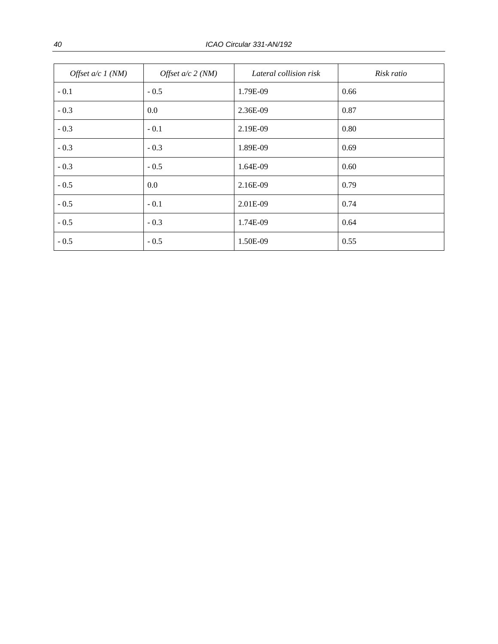| Offset $a/c$ 1 (NM) | Offset $a/c$ 2 (NM) | Lateral collision risk | Risk ratio |
|---------------------|---------------------|------------------------|------------|
| $-0.1$              | $-0.5$              | 1.79E-09               | 0.66       |
| $-0.3$              | 0.0                 | 2.36E-09               | 0.87       |
| $-0.3$              | $-0.1$              | 2.19E-09               | 0.80       |
| $-0.3$              | $-0.3$              | 1.89E-09               | 0.69       |
| $-0.3$              | $-0.5$              | 1.64E-09               | 0.60       |
| $-0.5$              | 0.0                 | 2.16E-09               | 0.79       |
| $-0.5$              | $-0.1$              | 2.01E-09               | 0.74       |
| $-0.5$              | $-0.3$              | 1.74E-09               | 0.64       |
| $-0.5$              | $-0.5$              | 1.50E-09               | 0.55       |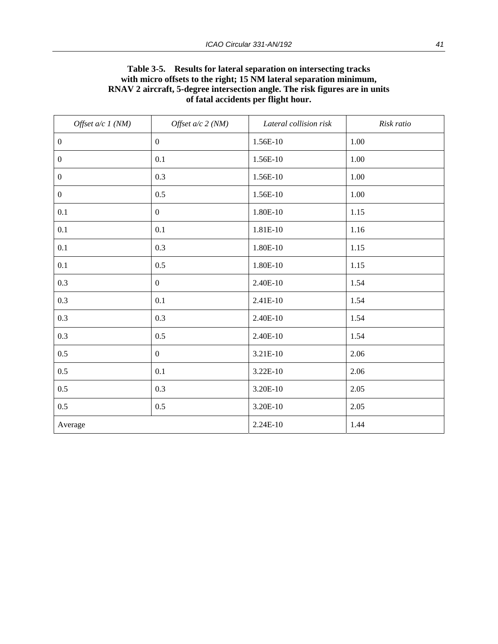#### **Table 3-5. Results for lateral separation on intersecting tracks with micro offsets to the right; 15 NM lateral separation minimum, RNAV 2 aircraft, 5-degree intersection angle. The risk figures are in units of fatal accidents per flight hour.**

| Offset $a/c$ 1 (NM) | Offset $a/c$ 2 (NM) | Lateral collision risk | Risk ratio |
|---------------------|---------------------|------------------------|------------|
| $\boldsymbol{0}$    | $\boldsymbol{0}$    | 1.56E-10               | 1.00       |
| $\boldsymbol{0}$    | 0.1                 | 1.56E-10               | 1.00       |
| $\boldsymbol{0}$    | 0.3                 | 1.56E-10               | 1.00       |
| $\boldsymbol{0}$    | 0.5                 | 1.56E-10               | 1.00       |
| 0.1                 | $\boldsymbol{0}$    | 1.80E-10               | 1.15       |
| 0.1                 | 0.1                 | 1.81E-10               | 1.16       |
| 0.1                 | 0.3                 | 1.80E-10               | 1.15       |
| 0.1                 | 0.5                 | 1.80E-10               | 1.15       |
| 0.3                 | $\boldsymbol{0}$    | 2.40E-10               | 1.54       |
| 0.3                 | 0.1                 | 2.41E-10               | 1.54       |
| 0.3                 | 0.3                 | 2.40E-10               | 1.54       |
| 0.3                 | 0.5                 | 2.40E-10               | 1.54       |
| 0.5                 | $\boldsymbol{0}$    | 3.21E-10               | 2.06       |
| 0.5                 | 0.1                 | 3.22E-10               | 2.06       |
| 0.5                 | 0.3                 | 3.20E-10               | 2.05       |
| 0.5                 | 0.5                 | 3.20E-10               | 2.05       |
| Average             |                     | 2.24E-10               | 1.44       |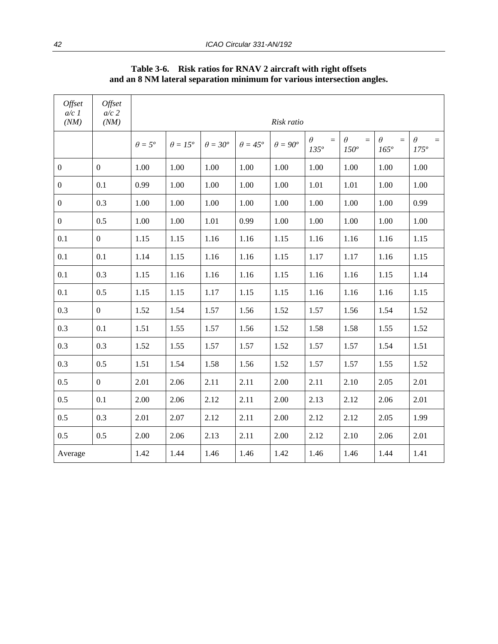| Offset<br>$a/c$ 1 | Offset<br>$a/c$ 2 |                |                 |                 |                       |                     |                                  |                            |                                     |                                  |
|-------------------|-------------------|----------------|-----------------|-----------------|-----------------------|---------------------|----------------------------------|----------------------------|-------------------------------------|----------------------------------|
| (NM)              | (NM)              | Risk ratio     |                 |                 |                       |                     |                                  |                            |                                     |                                  |
|                   |                   | $\theta = 5^o$ | $\theta = 15^o$ | $\theta = 30^o$ | $\theta = 45^{\circ}$ | $\theta = 90^\circ$ | $\theta$<br>$=$<br>$135^{\circ}$ | $\theta$<br>$=$<br>$150^o$ | $\theta$<br>$\equiv$<br>$165^\circ$ | $\theta$<br>$=$<br>$175^{\circ}$ |
| $\boldsymbol{0}$  | $\overline{0}$    | 1.00           | 1.00            | 1.00            | 1.00                  | 1.00                | 1.00                             | 1.00                       | 1.00                                | 1.00                             |
| $\boldsymbol{0}$  | 0.1               | 0.99           | 1.00            | 1.00            | 1.00                  | 1.00                | 1.01                             | 1.01                       | 1.00                                | 1.00                             |
| $\boldsymbol{0}$  | 0.3               | 1.00           | 1.00            | 1.00            | 1.00                  | 1.00                | 1.00                             | 1.00                       | 1.00                                | 0.99                             |
| $\boldsymbol{0}$  | 0.5               | 1.00           | 1.00            | 1.01            | 0.99                  | 1.00                | 1.00                             | 1.00                       | 1.00                                | 1.00                             |
| 0.1               | $\boldsymbol{0}$  | 1.15           | 1.15            | 1.16            | 1.16                  | 1.15                | 1.16                             | 1.16                       | 1.16                                | 1.15                             |
| 0.1               | 0.1               | 1.14           | 1.15            | 1.16            | 1.16                  | 1.15                | 1.17                             | 1.17                       | 1.16                                | 1.15                             |
| 0.1               | 0.3               | 1.15           | 1.16            | 1.16            | 1.16                  | 1.15                | 1.16                             | 1.16                       | 1.15                                | 1.14                             |
| 0.1               | 0.5               | 1.15           | 1.15            | 1.17            | 1.15                  | 1.15                | 1.16                             | 1.16                       | 1.16                                | 1.15                             |
| 0.3               | $\mathbf{0}$      | 1.52           | 1.54            | 1.57            | 1.56                  | 1.52                | 1.57                             | 1.56                       | 1.54                                | 1.52                             |
| 0.3               | 0.1               | 1.51           | 1.55            | 1.57            | 1.56                  | 1.52                | 1.58                             | 1.58                       | 1.55                                | 1.52                             |
| 0.3               | 0.3               | 1.52           | 1.55            | 1.57            | 1.57                  | 1.52                | 1.57                             | 1.57                       | 1.54                                | 1.51                             |
| 0.3               | 0.5               | 1.51           | 1.54            | 1.58            | 1.56                  | 1.52                | 1.57                             | 1.57                       | 1.55                                | 1.52                             |
| 0.5               | $\mathbf{0}$      | 2.01           | 2.06            | 2.11            | 2.11                  | 2.00                | 2.11                             | 2.10                       | 2.05                                | 2.01                             |
| 0.5               | 0.1               | 2.00           | 2.06            | 2.12            | 2.11                  | 2.00                | 2.13                             | 2.12                       | 2.06                                | 2.01                             |
| 0.5               | 0.3               | 2.01           | 2.07            | 2.12            | 2.11                  | 2.00                | 2.12                             | 2.12                       | 2.05                                | 1.99                             |
| 0.5               | 0.5               | 2.00           | 2.06            | 2.13            | 2.11                  | 2.00                | 2.12                             | 2.10                       | 2.06                                | 2.01                             |
| Average           |                   | 1.42           | 1.44            | 1.46            | 1.46                  | 1.42                | 1.46                             | 1.46                       | 1.44                                | 1.41                             |

**Table 3-6. Risk ratios for RNAV 2 aircraft with right offsets and an 8 NM lateral separation minimum for various intersection angles.**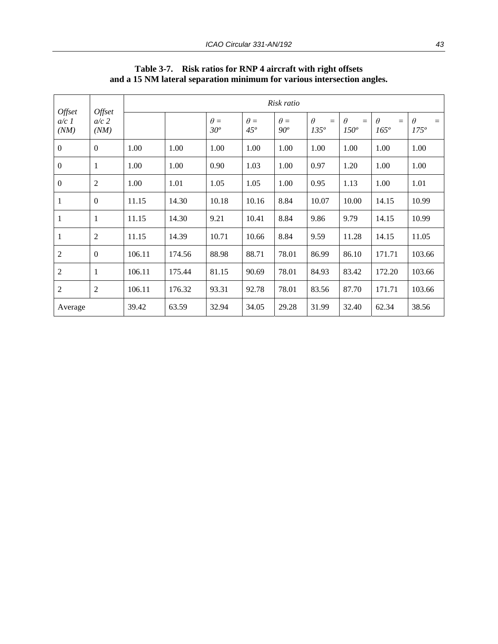| <b>Offset</b><br>$a/c$ 1<br>(NM) | Offset<br>$a/c$ 2<br>(NM) | Risk ratio |        |                      |                            |                      |                                  |                                  |                                |                                  |  |  |
|----------------------------------|---------------------------|------------|--------|----------------------|----------------------------|----------------------|----------------------------------|----------------------------------|--------------------------------|----------------------------------|--|--|
|                                  |                           |            |        | $\theta =$<br>$30^o$ | $\theta =$<br>$45^{\circ}$ | $\theta =$<br>$90^o$ | $\theta$<br>$=$<br>$135^{\circ}$ | $\theta$<br>$=$<br>$150^{\circ}$ | $\theta$<br>$=$<br>$165^\circ$ | $\theta$<br>$=$<br>$175^{\circ}$ |  |  |
| $\boldsymbol{0}$                 | $\mathbf{0}$              | 1.00       | 1.00   | 1.00                 | 1.00                       | 1.00                 | 1.00                             | 1.00                             | 1.00                           | 1.00                             |  |  |
| $\boldsymbol{0}$                 | 1                         | 1.00       | 1.00   | 0.90                 | 1.03                       | 1.00                 | 0.97                             | 1.20                             | 1.00                           | 1.00                             |  |  |
| $\boldsymbol{0}$                 | $\overline{2}$            | 1.00       | 1.01   | 1.05                 | 1.05                       | 1.00                 | 0.95                             | 1.13                             | 1.00                           | 1.01                             |  |  |
| $\mathbf{1}$                     | $\boldsymbol{0}$          | 11.15      | 14.30  | 10.18                | 10.16                      | 8.84                 | 10.07                            | 10.00                            | 14.15                          | 10.99                            |  |  |
| $\mathbf{1}$                     | 1                         | 11.15      | 14.30  | 9.21                 | 10.41                      | 8.84                 | 9.86                             | 9.79                             | 14.15                          | 10.99                            |  |  |
| 1                                | $\overline{2}$            | 11.15      | 14.39  | 10.71                | 10.66                      | 8.84                 | 9.59                             | 11.28                            | 14.15                          | 11.05                            |  |  |
| $\mathfrak{2}$                   | $\mathbf{0}$              | 106.11     | 174.56 | 88.98                | 88.71                      | 78.01                | 86.99                            | 86.10                            | 171.71                         | 103.66                           |  |  |
| $\mathfrak{2}$                   | 1                         | 106.11     | 175.44 | 81.15                | 90.69                      | 78.01                | 84.93                            | 83.42                            | 172.20                         | 103.66                           |  |  |
| $\mathfrak{2}$                   | $\overline{2}$            | 106.11     | 176.32 | 93.31                | 92.78                      | 78.01                | 83.56                            | 87.70                            | 171.71                         | 103.66                           |  |  |
| Average                          |                           | 39.42      | 63.59  | 32.94                | 34.05                      | 29.28                | 31.99                            | 32.40                            | 62.34                          | 38.56                            |  |  |

#### **Table 3-7. Risk ratios for RNP 4 aircraft with right offsets and a 15 NM lateral separation minimum for various intersection angles.**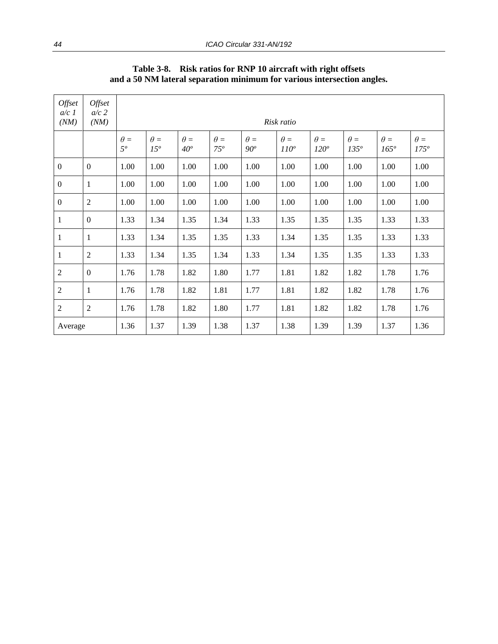| Offset<br>$a/c$ 1<br>(NM) | Offset<br>$a/c$ 2<br>(NM) | Risk ratio                |                               |                      |                            |                      |                             |                             |                             |                           |                             |
|---------------------------|---------------------------|---------------------------|-------------------------------|----------------------|----------------------------|----------------------|-----------------------------|-----------------------------|-----------------------------|---------------------------|-----------------------------|
|                           |                           | $\theta =$<br>$5^{\circ}$ | $\theta =$<br>15 <sup>o</sup> | $\theta =$<br>$40^o$ | $\theta =$<br>$75^{\circ}$ | $\theta =$<br>$90^o$ | $\theta =$<br>$110^{\circ}$ | $\theta =$<br>$120^{\circ}$ | $\theta =$<br>$135^{\circ}$ | $\theta =$<br>$165^\circ$ | $\theta =$<br>$175^{\circ}$ |
| $\boldsymbol{0}$          | $\overline{0}$            | 1.00                      | 1.00                          | 1.00                 | 1.00                       | 1.00                 | 1.00                        | 1.00                        | 1.00                        | 1.00                      | 1.00                        |
| $\boldsymbol{0}$          | -1                        | 1.00                      | 1.00                          | 1.00                 | 1.00                       | 1.00                 | 1.00                        | 1.00                        | 1.00                        | 1.00                      | 1.00                        |
| $\boldsymbol{0}$          | $\overline{2}$            | 1.00                      | 1.00                          | 1.00                 | 1.00                       | 1.00                 | 1.00                        | 1.00                        | 1.00                        | 1.00                      | 1.00                        |
| $\mathbf{1}$              | $\mathbf{0}$              | 1.33                      | 1.34                          | 1.35                 | 1.34                       | 1.33                 | 1.35                        | 1.35                        | 1.35                        | 1.33                      | 1.33                        |
| $\mathbf{1}$              | 1                         | 1.33                      | 1.34                          | 1.35                 | 1.35                       | 1.33                 | 1.34                        | 1.35                        | 1.35                        | 1.33                      | 1.33                        |
| $\mathbf{1}$              | $\overline{2}$            | 1.33                      | 1.34                          | 1.35                 | 1.34                       | 1.33                 | 1.34                        | 1.35                        | 1.35                        | 1.33                      | 1.33                        |
| $\mathfrak{2}$            | $\overline{0}$            | 1.76                      | 1.78                          | 1.82                 | 1.80                       | 1.77                 | 1.81                        | 1.82                        | 1.82                        | 1.78                      | 1.76                        |
| $\boldsymbol{2}$          | -1                        | 1.76                      | 1.78                          | 1.82                 | 1.81                       | 1.77                 | 1.81                        | 1.82                        | 1.82                        | 1.78                      | 1.76                        |
| $\overline{2}$            | 2                         | 1.76                      | 1.78                          | 1.82                 | 1.80                       | 1.77                 | 1.81                        | 1.82                        | 1.82                        | 1.78                      | 1.76                        |
| Average                   |                           | 1.36                      | 1.37                          | 1.39                 | 1.38                       | 1.37                 | 1.38                        | 1.39                        | 1.39                        | 1.37                      | 1.36                        |

**Table 3-8. Risk ratios for RNP 10 aircraft with right offsets and a 50 NM lateral separation minimum for various intersection angles.**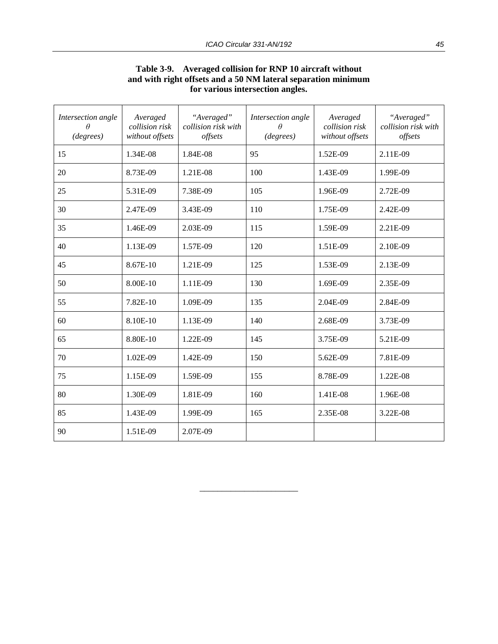| Intersection angle<br>$\theta$<br>(degrees) | Averaged<br>collision risk<br>without offsets | "Averaged"<br>collision risk with<br>offsets | Intersection angle<br>$\theta$<br>(degrees) | Averaged<br>collision risk<br>without offsets | "Averaged"<br>collision risk with<br>offsets |
|---------------------------------------------|-----------------------------------------------|----------------------------------------------|---------------------------------------------|-----------------------------------------------|----------------------------------------------|
| 15                                          | 1.34E-08                                      | 1.84E-08                                     | 95                                          | 1.52E-09                                      | 2.11E-09                                     |
| 20                                          | 8.73E-09                                      | 1.21E-08                                     | 100                                         | 1.43E-09                                      | 1.99E-09                                     |
| 25                                          | 5.31E-09                                      | 7.38E-09                                     | 105                                         | 1.96E-09                                      | 2.72E-09                                     |
| 30                                          | 2.47E-09                                      | 3.43E-09                                     | 110                                         | 1.75E-09                                      | 2.42E-09                                     |
| 35                                          | 1.46E-09                                      | 2.03E-09                                     | 115                                         | 1.59E-09                                      | 2.21E-09                                     |
| 40                                          | 1.13E-09                                      | 1.57E-09                                     | 120                                         | 1.51E-09                                      | 2.10E-09                                     |
| 45                                          | 8.67E-10                                      | 1.21E-09                                     | 125                                         | 1.53E-09                                      | 2.13E-09                                     |
| 50                                          | 8.00E-10                                      | 1.11E-09                                     | 130                                         | 1.69E-09                                      | 2.35E-09                                     |
| 55                                          | 7.82E-10                                      | 1.09E-09                                     | 135                                         | 2.04E-09                                      | 2.84E-09                                     |
| 60                                          | 8.10E-10                                      | 1.13E-09                                     | 140                                         | 2.68E-09                                      | 3.73E-09                                     |
| 65                                          | 8.80E-10                                      | 1.22E-09                                     | 145                                         | 3.75E-09                                      | 5.21E-09                                     |
| 70                                          | 1.02E-09                                      | 1.42E-09                                     | 150                                         | 5.62E-09                                      | 7.81E-09                                     |
| 75                                          | 1.15E-09                                      | 1.59E-09                                     | 155                                         | 8.78E-09                                      | 1.22E-08                                     |
| 80                                          | 1.30E-09                                      | 1.81E-09                                     | 160                                         | 1.41E-08                                      | 1.96E-08                                     |
| 85                                          | 1.43E-09                                      | 1.99E-09                                     | 165                                         | 2.35E-08                                      | 3.22E-08                                     |
| 90                                          | 1.51E-09                                      | 2.07E-09                                     |                                             |                                               |                                              |

\_\_\_\_\_\_\_\_\_\_\_\_\_\_\_\_\_\_\_\_\_\_

#### **Table 3-9. Averaged collision for RNP 10 aircraft without and with right offsets and a 50 NM lateral separation minimum for various intersection angles.**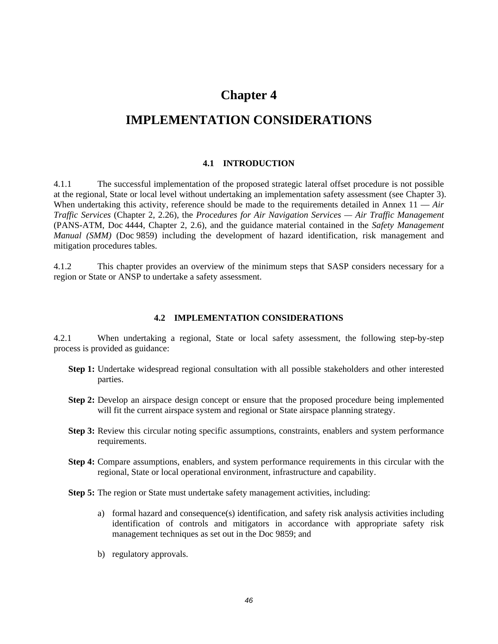## **Chapter 4**

# **IMPLEMENTATION CONSIDERATIONS**

#### **4.1 INTRODUCTION**

4.1.1 The successful implementation of the proposed strategic lateral offset procedure is not possible at the regional, State or local level without undertaking an implementation safety assessment (see Chapter 3). When undertaking this activity, reference should be made to the requirements detailed in Annex 11 — *Air Traffic Services* (Chapter 2, 2.26), the *Procedures for Air Navigation Services — Air Traffic Management* (PANS-ATM, Doc 4444, Chapter 2, 2.6), and the guidance material contained in the *Safety Management Manual (SMM)* (Doc 9859) including the development of hazard identification, risk management and mitigation procedures tables.

4.1.2 This chapter provides an overview of the minimum steps that SASP considers necessary for a region or State or ANSP to undertake a safety assessment.

#### **4.2 IMPLEMENTATION CONSIDERATIONS**

4.2.1 When undertaking a regional, State or local safety assessment, the following step-by-step process is provided as guidance:

- **Step 1:** Undertake widespread regional consultation with all possible stakeholders and other interested parties.
- **Step 2:** Develop an airspace design concept or ensure that the proposed procedure being implemented will fit the current airspace system and regional or State airspace planning strategy.
- **Step 3:** Review this circular noting specific assumptions, constraints, enablers and system performance requirements.
- **Step 4:** Compare assumptions, enablers, and system performance requirements in this circular with the regional, State or local operational environment, infrastructure and capability.
- **Step 5:** The region or State must undertake safety management activities, including:
	- a) formal hazard and consequence(s) identification, and safety risk analysis activities including identification of controls and mitigators in accordance with appropriate safety risk management techniques as set out in the Doc 9859; and
	- b) regulatory approvals.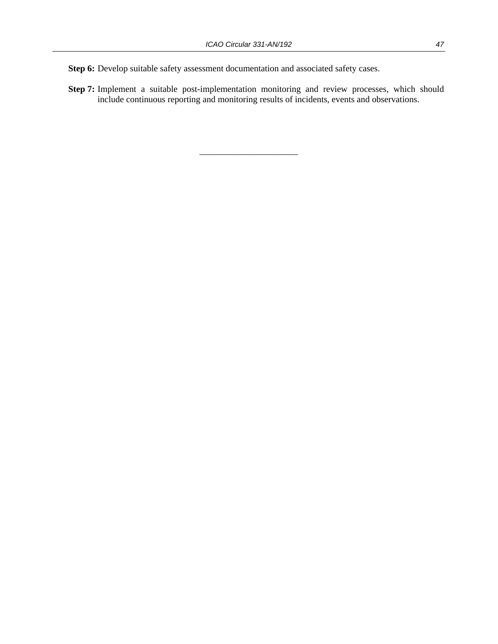**Step 6:** Develop suitable safety assessment documentation and associated safety cases.

**Step 7:** Implement a suitable post-implementation monitoring and review processes, which should include continuous reporting and monitoring results of incidents, events and observations.

\_\_\_\_\_\_\_\_\_\_\_\_\_\_\_\_\_\_\_\_\_\_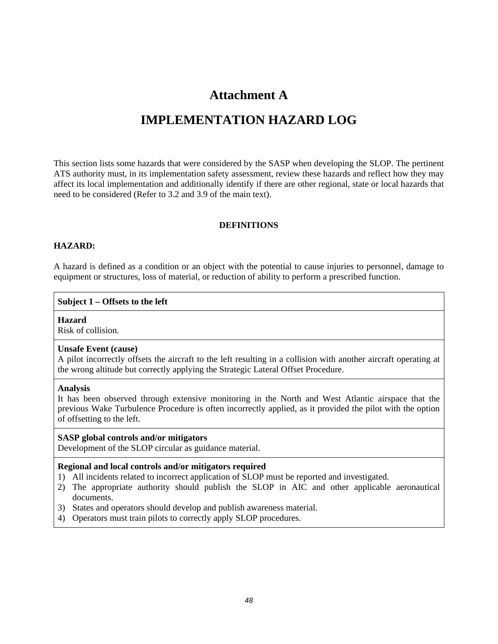# **Attachment A**

# **IMPLEMENTATION HAZARD LOG**

This section lists some hazards that were considered by the SASP when developing the SLOP. The pertinent ATS authority must, in its implementation safety assessment, review these hazards and reflect how they may affect its local implementation and additionally identify if there are other regional, state or local hazards that need to be considered (Refer to 3.2 and 3.9 of the main text).

#### **DEFINITIONS**

#### **HAZARD:**

A hazard is defined as a condition or an object with the potential to cause injuries to personnel, damage to equipment or structures, loss of material, or reduction of ability to perform a prescribed function.

#### **Subject 1 – Offsets to the left**

#### **Hazard**

Risk of collision.

#### **Unsafe Event (cause)**

A pilot incorrectly offsets the aircraft to the left resulting in a collision with another aircraft operating at the wrong altitude but correctly applying the Strategic Lateral Offset Procedure.

#### **Analysis**

It has been observed through extensive monitoring in the North and West Atlantic airspace that the previous Wake Turbulence Procedure is often incorrectly applied, as it provided the pilot with the option of offsetting to the left.

#### **SASP global controls and/or mitigators**

Development of the SLOP circular as guidance material.

#### **Regional and local controls and/or mitigators required**

- 1) All incidents related to incorrect application of SLOP must be reported and investigated.
- 2) The appropriate authority should publish the SLOP in AIC and other applicable aeronautical documents.
- 3) States and operators should develop and publish awareness material.
- 4) Operators must train pilots to correctly apply SLOP procedures.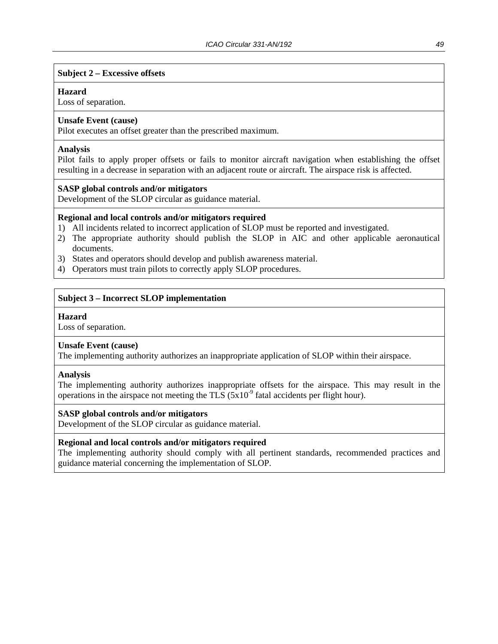#### **Subject 2 – Excessive offsets**

#### **Hazard**

Loss of separation.

#### **Unsafe Event (cause)**

Pilot executes an offset greater than the prescribed maximum.

#### **Analysis**

Pilot fails to apply proper offsets or fails to monitor aircraft navigation when establishing the offset resulting in a decrease in separation with an adjacent route or aircraft. The airspace risk is affected.

#### **SASP global controls and/or mitigators**

Development of the SLOP circular as guidance material.

#### **Regional and local controls and/or mitigators required**

- 1) All incidents related to incorrect application of SLOP must be reported and investigated.
- 2) The appropriate authority should publish the SLOP in AIC and other applicable aeronautical documents.
- 3) States and operators should develop and publish awareness material.
- 4) Operators must train pilots to correctly apply SLOP procedures.

#### **Subject 3 – Incorrect SLOP implementation**

#### **Hazard**

Loss of separation.

#### **Unsafe Event (cause)**

The implementing authority authorizes an inappropriate application of SLOP within their airspace.

#### **Analysis**

The implementing authority authorizes inappropriate offsets for the airspace. This may result in the operations in the airspace not meeting the TLS  $(5x10<sup>-9</sup>)$  fatal accidents per flight hour).

#### **SASP global controls and/or mitigators**

Development of the SLOP circular as guidance material.

#### **Regional and local controls and/or mitigators required**

The implementing authority should comply with all pertinent standards, recommended practices and guidance material concerning the implementation of SLOP.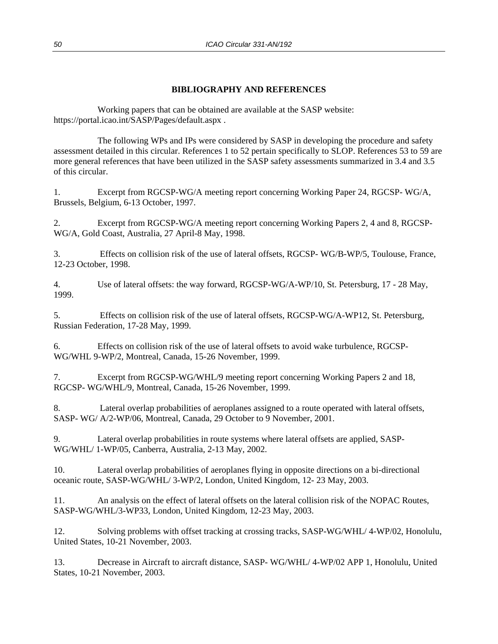#### **BIBLIOGRAPHY AND REFERENCES**

 Working papers that can be obtained are available at the SASP website: https://portal.icao.int/SASP/Pages/default.aspx .

 The following WPs and IPs were considered by SASP in developing the procedure and safety assessment detailed in this circular. References 1 to 52 pertain specifically to SLOP. References 53 to 59 are more general references that have been utilized in the SASP safety assessments summarized in 3.4 and 3.5 of this circular.

1. Excerpt from RGCSP-WG/A meeting report concerning Working Paper 24, RGCSP- WG/A, Brussels, Belgium, 6-13 October, 1997.

2. Excerpt from RGCSP-WG/A meeting report concerning Working Papers 2, 4 and 8, RGCSP-WG/A, Gold Coast, Australia, 27 April-8 May, 1998.

3. Effects on collision risk of the use of lateral offsets, RGCSP- WG/B-WP/5, Toulouse, France, 12-23 October, 1998.

4. Use of lateral offsets: the way forward, RGCSP-WG/A-WP/10, St. Petersburg, 17 - 28 May, 1999.

5. Effects on collision risk of the use of lateral offsets, RGCSP-WG/A-WP12, St. Petersburg, Russian Federation, 17-28 May, 1999.

6. Effects on collision risk of the use of lateral offsets to avoid wake turbulence, RGCSP-WG/WHL 9-WP/2, Montreal, Canada, 15-26 November, 1999.

7. Excerpt from RGCSP-WG/WHL/9 meeting report concerning Working Papers 2 and 18, RGCSP- WG/WHL/9, Montreal, Canada, 15-26 November, 1999.

8. Lateral overlap probabilities of aeroplanes assigned to a route operated with lateral offsets, SASP- WG/ A/2-WP/06, Montreal, Canada, 29 October to 9 November, 2001.

9. Lateral overlap probabilities in route systems where lateral offsets are applied, SASP-WG/WHL/ 1-WP/05, Canberra, Australia, 2-13 May, 2002.

10. Lateral overlap probabilities of aeroplanes flying in opposite directions on a bi-directional oceanic route, SASP-WG/WHL/ 3-WP/2, London, United Kingdom, 12- 23 May, 2003.

11. An analysis on the effect of lateral offsets on the lateral collision risk of the NOPAC Routes, SASP-WG/WHL/3-WP33, London, United Kingdom, 12-23 May, 2003.

12. Solving problems with offset tracking at crossing tracks, SASP-WG/WHL/ 4-WP/02, Honolulu, United States, 10-21 November, 2003.

13. Decrease in Aircraft to aircraft distance, SASP- WG/WHL/ 4-WP/02 APP 1, Honolulu, United States, 10-21 November, 2003.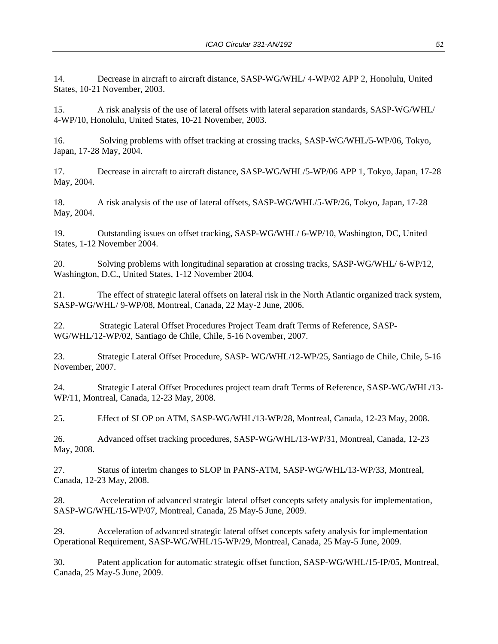14. Decrease in aircraft to aircraft distance, SASP-WG/WHL/ 4-WP/02 APP 2, Honolulu, United States, 10-21 November, 2003.

15. A risk analysis of the use of lateral offsets with lateral separation standards, SASP-WG/WHL/ 4-WP/10, Honolulu, United States, 10-21 November, 2003.

16. Solving problems with offset tracking at crossing tracks, SASP-WG/WHL/5-WP/06, Tokyo, Japan, 17-28 May, 2004.

17. Decrease in aircraft to aircraft distance, SASP-WG/WHL/5-WP/06 APP 1, Tokyo, Japan, 17-28 May, 2004.

18. A risk analysis of the use of lateral offsets, SASP-WG/WHL/5-WP/26, Tokyo, Japan, 17-28 May, 2004.

19. Outstanding issues on offset tracking, SASP-WG/WHL/ 6-WP/10, Washington, DC, United States, 1-12 November 2004.

20. Solving problems with longitudinal separation at crossing tracks, SASP-WG/WHL/ 6-WP/12, Washington, D.C., United States, 1-12 November 2004.

21. The effect of strategic lateral offsets on lateral risk in the North Atlantic organized track system, SASP-WG/WHL/ 9-WP/08, Montreal, Canada, 22 May-2 June, 2006.

22. Strategic Lateral Offset Procedures Project Team draft Terms of Reference, SASP-WG/WHL/12-WP/02, Santiago de Chile, Chile, 5-16 November, 2007.

23. Strategic Lateral Offset Procedure, SASP- WG/WHL/12-WP/25, Santiago de Chile, Chile, 5-16 November, 2007.

24. Strategic Lateral Offset Procedures project team draft Terms of Reference, SASP-WG/WHL/13- WP/11, Montreal, Canada, 12-23 May, 2008.

25. Effect of SLOP on ATM, SASP-WG/WHL/13-WP/28, Montreal, Canada, 12-23 May, 2008.

26. Advanced offset tracking procedures, SASP-WG/WHL/13-WP/31, Montreal, Canada, 12-23 May, 2008.

27. Status of interim changes to SLOP in PANS-ATM, SASP-WG/WHL/13-WP/33, Montreal, Canada, 12-23 May, 2008.

28. Acceleration of advanced strategic lateral offset concepts safety analysis for implementation, SASP-WG/WHL/15-WP/07, Montreal, Canada, 25 May-5 June, 2009.

29. Acceleration of advanced strategic lateral offset concepts safety analysis for implementation Operational Requirement, SASP-WG/WHL/15-WP/29, Montreal, Canada, 25 May-5 June, 2009.

30. Patent application for automatic strategic offset function, SASP-WG/WHL/15-IP/05, Montreal, Canada, 25 May-5 June, 2009.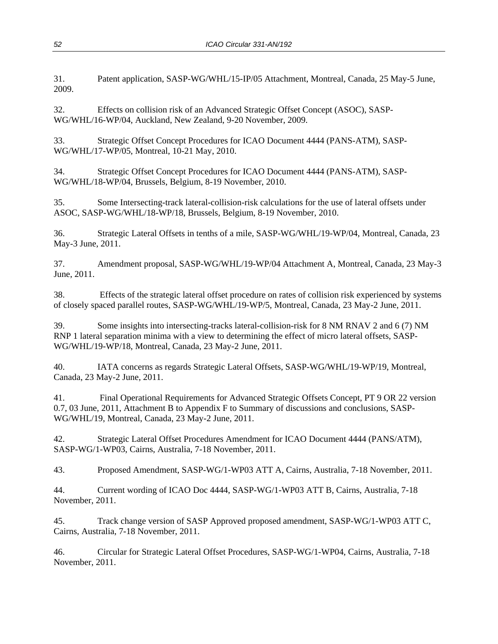31. Patent application, SASP-WG/WHL/15-IP/05 Attachment, Montreal, Canada, 25 May-5 June, 2009.

32. Effects on collision risk of an Advanced Strategic Offset Concept (ASOC), SASP-WG/WHL/16-WP/04, Auckland, New Zealand, 9-20 November, 2009.

33. Strategic Offset Concept Procedures for ICAO Document 4444 (PANS-ATM), SASP-WG/WHL/17-WP/05, Montreal, 10-21 May, 2010.

34. Strategic Offset Concept Procedures for ICAO Document 4444 (PANS-ATM), SASP-WG/WHL/18-WP/04, Brussels, Belgium, 8-19 November, 2010.

35. Some Intersecting-track lateral-collision-risk calculations for the use of lateral offsets under ASOC, SASP-WG/WHL/18-WP/18, Brussels, Belgium, 8-19 November, 2010.

36. Strategic Lateral Offsets in tenths of a mile, SASP-WG/WHL/19-WP/04, Montreal, Canada, 23 May-3 June, 2011.

37. Amendment proposal, SASP-WG/WHL/19-WP/04 Attachment A, Montreal, Canada, 23 May-3 June, 2011.

38. Effects of the strategic lateral offset procedure on rates of collision risk experienced by systems of closely spaced parallel routes, SASP-WG/WHL/19-WP/5, Montreal, Canada, 23 May-2 June, 2011.

39. Some insights into intersecting-tracks lateral-collision-risk for 8 NM RNAV 2 and 6 (7) NM RNP 1 lateral separation minima with a view to determining the effect of micro lateral offsets, SASP-WG/WHL/19-WP/18, Montreal, Canada, 23 May-2 June, 2011.

40. IATA concerns as regards Strategic Lateral Offsets, SASP-WG/WHL/19-WP/19, Montreal, Canada, 23 May-2 June, 2011.

41. Final Operational Requirements for Advanced Strategic Offsets Concept, PT 9 OR 22 version 0.7, 03 June, 2011, Attachment B to Appendix F to Summary of discussions and conclusions, SASP-WG/WHL/19, Montreal, Canada, 23 May-2 June, 2011.

42. Strategic Lateral Offset Procedures Amendment for ICAO Document 4444 (PANS/ATM), SASP-WG/1-WP03, Cairns, Australia, 7-18 November, 2011.

43. Proposed Amendment, SASP-WG/1-WP03 ATT A, Cairns, Australia, 7-18 November, 2011.

44. Current wording of ICAO Doc 4444, SASP-WG/1-WP03 ATT B, Cairns, Australia, 7-18 November, 2011.

45. Track change version of SASP Approved proposed amendment, SASP-WG/1-WP03 ATT C, Cairns, Australia, 7-18 November, 2011.

46. Circular for Strategic Lateral Offset Procedures, SASP-WG/1-WP04, Cairns, Australia, 7-18 November, 2011.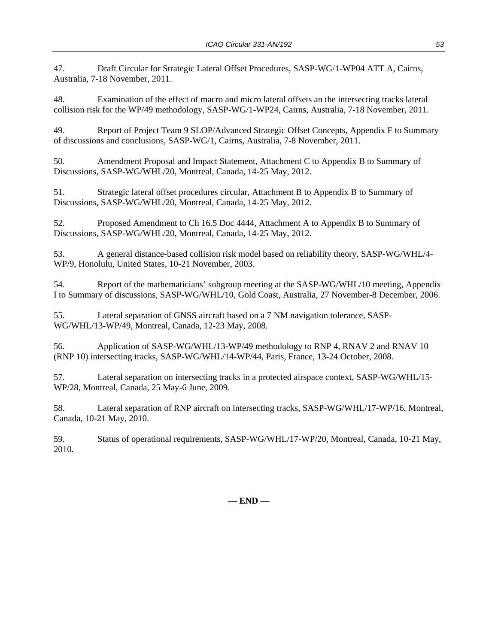47. Draft Circular for Strategic Lateral Offset Procedures, SASP-WG/1-WP04 ATT A, Cairns, Australia, 7-18 November, 2011.

48. Examination of the effect of macro and micro lateral offsets an the intersecting tracks lateral collision risk for the WP/49 methodology, SASP-WG/1-WP24, Cairns, Australia, 7-18 November, 2011.

49. Report of Project Team 9 SLOP/Advanced Strategic Offset Concepts, Appendix F to Summary of discussions and conclusions, SASP-WG/1, Cairns, Australia, 7-8 November, 2011.

50. Amendment Proposal and Impact Statement, Attachment C to Appendix B to Summary of Discussions, SASP-WG/WHL/20, Montreal, Canada, 14-25 May, 2012.

51. Strategic lateral offset procedures circular, Attachment B to Appendix B to Summary of Discussions, SASP-WG/WHL/20, Montreal, Canada, 14-25 May, 2012.

52. Proposed Amendment to Ch 16.5 Doc 4444, Attachment A to Appendix B to Summary of Discussions, SASP-WG/WHL/20, Montreal, Canada, 14-25 May, 2012.

53. A general distance-based collision risk model based on reliability theory, SASP-WG/WHL/4- WP/9, Honolulu, United States, 10-21 November, 2003.

54. Report of the mathematicians' subgroup meeting at the SASP-WG/WHL/10 meeting, Appendix I to Summary of discussions, SASP-WG/WHL/10, Gold Coast, Australia, 27 November-8 December, 2006.

55. Lateral separation of GNSS aircraft based on a 7 NM navigation tolerance, SASP-WG/WHL/13-WP/49, Montreal, Canada, 12-23 May, 2008.

56. Application of SASP-WG/WHL/13-WP/49 methodology to RNP 4, RNAV 2 and RNAV 10 (RNP 10) intersecting tracks, SASP-WG/WHL/14-WP/44, Paris, France, 13-24 October, 2008.

57. Lateral separation on intersecting tracks in a protected airspace context, SASP-WG/WHL/15- WP/28, Montreal, Canada, 25 May-6 June, 2009.

58. Lateral separation of RNP aircraft on intersecting tracks, SASP-WG/WHL/17-WP/16, Montreal, Canada, 10-21 May, 2010.

59. Status of operational requirements, SASP-WG/WHL/17-WP/20, Montreal, Canada, 10-21 May, 2010.

**— END —**